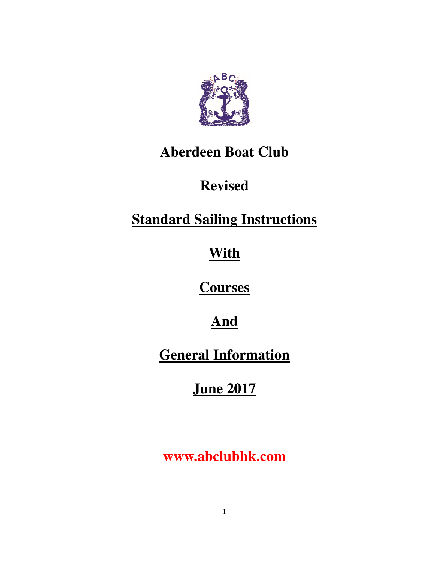

# **Aberdeen Boat Club**

# **Revised**

# **Standard Sailing Instructions**

# **With**

# **Courses**

# **And**

# **General Information**

# **June 2017**

# **www.abclubhk.com**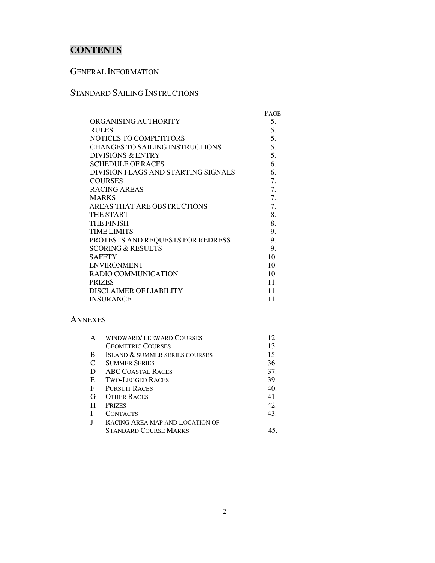# **CONTENTS**

## GENERAL INFORMATION

## STANDARD SAILING INSTRUCTIONS

|                                        | PAGE            |
|----------------------------------------|-----------------|
| ORGANISING AUTHORITY                   | 5.              |
| <b>RULES</b>                           | 5.              |
| NOTICES TO COMPETITORS                 | 5.              |
| <b>CHANGES TO SAILING INSTRUCTIONS</b> | 5.              |
| <b>DIVISIONS &amp; ENTRY</b>           | 5.              |
| <b>SCHEDULE OF RACES</b>               | 6.              |
| DIVISION FLAGS AND STARTING SIGNALS    | 6.              |
| <b>COURSES</b>                         | 7.              |
| RACING AREAS                           | 7.              |
| <b>MARKS</b>                           | 7.              |
| AREAS THAT ARE OBSTRUCTIONS            | 7.              |
| THE START                              | 8.              |
| <b>THE FINISH</b>                      | 8.              |
| <b>TIME LIMITS</b>                     | 9.              |
| PROTESTS AND REQUESTS FOR REDRESS      | 9.              |
| <b>SCORING &amp; RESULTS</b>           | 9.              |
| <b>SAFETY</b>                          | 10 <sub>1</sub> |
| <b>ENVIRONMENT</b>                     | 10 <sub>1</sub> |
| <b>RADIO COMMUNICATION</b>             | 10.             |
| <b>PRIZES</b>                          | 11.             |
| DISCLAIMER OF LIABILITY                | 11.             |
| <b>INSURANCE</b>                       | 11.             |

#### ANNEXES

| A | WINDWARD/LEEWARD COURSES        | 12 <sub>1</sub> |
|---|---------------------------------|-----------------|
|   | <b>GEOMETRIC COURSES</b>        | 13.             |
| B | ISLAND & SUMMER SERIES COURSES  | 15.             |
| C | <b>SUMMER SERIES</b>            | 36.             |
| D | <b>ABC COASTAL RACES</b>        | 37.             |
| E | <b>TWO-LEGGED RACES</b>         | 39.             |
| F | <b>PURSUIT RACES</b>            | 40.             |
| G | <b>OTHER RACES</b>              | 41.             |
| H | <b>PRIZES</b>                   | 42.             |
| I | CONTACTS                        | 43.             |
| I | RACING AREA MAP AND LOCATION OF |                 |
|   | STANDARD COURSE MARKS           |                 |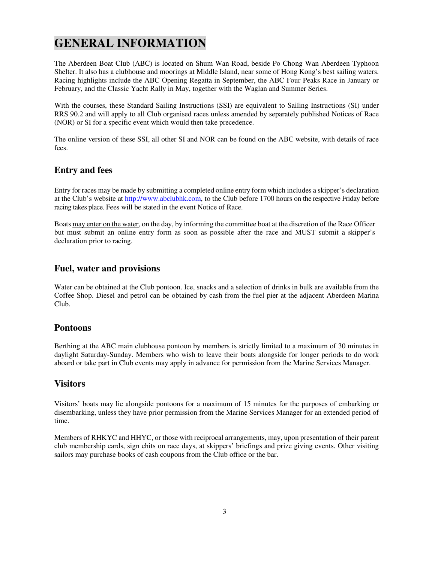# **GENERAL INFORMATION**

The Aberdeen Boat Club (ABC) is located on Shum Wan Road, beside Po Chong Wan Aberdeen Typhoon Shelter. It also has a clubhouse and moorings at Middle Island, near some of Hong Kong's best sailing waters. Racing highlights include the ABC Opening Regatta in September, the ABC Four Peaks Race in January or February, and the Classic Yacht Rally in May, together with the Waglan and Summer Series.

With the courses, these Standard Sailing Instructions (SSI) are equivalent to Sailing Instructions (SI) under RRS 90.2 and will apply to all Club organised races unless amended by separately published Notices of Race (NOR) or SI for a specific event which would then take precedence.

The online version of these SSI, all other SI and NOR can be found on the ABC website, with details of race fees.

### **Entry and fees**

Entry for races may be made by submitting a completed online entry form which includes a skipper's declaration at the Club's website at http://www.abclubhk.com, to the Club before 1700 hours on the respective Friday before racing takes place. Fees will be stated in the event Notice of Race.

Boats may enter on the water, on the day, by informing the committee boat at the discretion of the Race Officer but must submit an online entry form as soon as possible after the race and MUST submit a skipper's declaration prior to racing.

### **Fuel, water and provisions**

Water can be obtained at the Club pontoon. Ice, snacks and a selection of drinks in bulk are available from the Coffee Shop. Diesel and petrol can be obtained by cash from the fuel pier at the adjacent Aberdeen Marina Club.

### **Pontoons**

Berthing at the ABC main clubhouse pontoon by members is strictly limited to a maximum of 30 minutes in daylight Saturday-Sunday. Members who wish to leave their boats alongside for longer periods to do work aboard or take part in Club events may apply in advance for permission from the Marine Services Manager.

### **Visitors**

Visitors' boats may lie alongside pontoons for a maximum of 15 minutes for the purposes of embarking or disembarking, unless they have prior permission from the Marine Services Manager for an extended period of time.

Members of RHKYC and HHYC, or those with reciprocal arrangements, may, upon presentation of their parent club membership cards, sign chits on race days, at skippers' briefings and prize giving events. Other visiting sailors may purchase books of cash coupons from the Club office or the bar.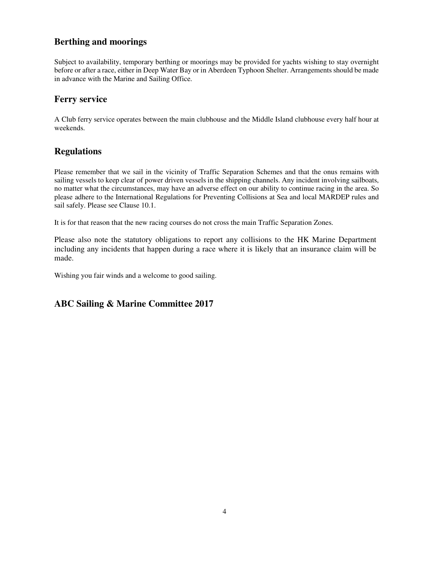## **Berthing and moorings**

Subject to availability, temporary berthing or moorings may be provided for yachts wishing to stay overnight before or after a race, either in Deep Water Bay or in Aberdeen Typhoon Shelter. Arrangements should be made in advance with the Marine and Sailing Office.

### **Ferry service**

A Club ferry service operates between the main clubhouse and the Middle Island clubhouse every half hour at weekends.

### **Regulations**

Please remember that we sail in the vicinity of Traffic Separation Schemes and that the onus remains with sailing vessels to keep clear of power driven vessels in the shipping channels. Any incident involving sailboats, no matter what the circumstances, may have an adverse effect on our ability to continue racing in the area. So please adhere to the International Regulations for Preventing Collisions at Sea and local MARDEP rules and sail safely. Please see Clause 10.1.

It is for that reason that the new racing courses do not cross the main Traffic Separation Zones.

Please also note the statutory obligations to report any collisions to the HK Marine Department including any incidents that happen during a race where it is likely that an insurance claim will be made.

Wishing you fair winds and a welcome to good sailing.

### **ABC Sailing & Marine Committee 2017**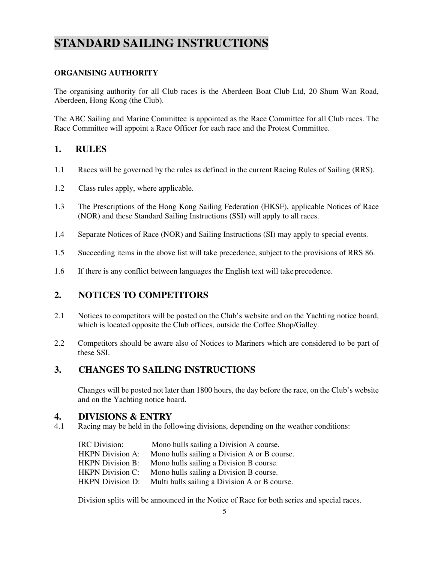# **STANDARD SAILING INSTRUCTIONS**

### **ORGANISING AUTHORITY**

The organising authority for all Club races is the Aberdeen Boat Club Ltd, 20 Shum Wan Road, Aberdeen, Hong Kong (the Club).

The ABC Sailing and Marine Committee is appointed as the Race Committee for all Club races. The Race Committee will appoint a Race Officer for each race and the Protest Committee.

### **1. RULES**

- 1.1 Races will be governed by the rules as defined in the current Racing Rules of Sailing (RRS).
- 1.2 Class rules apply, where applicable.
- 1.3 The Prescriptions of the Hong Kong Sailing Federation (HKSF), applicable Notices of Race (NOR) and these Standard Sailing Instructions (SSI) will apply to all races.
- 1.4 Separate Notices of Race (NOR) and Sailing Instructions (SI) may apply to special events.
- 1.5 Succeeding items in the above list will take precedence, subject to the provisions of RRS 86.
- 1.6 If there is any conflict between languages the English text will take precedence.

### **2. NOTICES TO COMPETITORS**

- 2.1 Notices to competitors will be posted on the Club's website and on the Yachting notice board, which is located opposite the Club offices, outside the Coffee Shop/Galley.
- 2.2 Competitors should be aware also of Notices to Mariners which are considered to be part of these SSI.

### **3. CHANGES TO SAILING INSTRUCTIONS**

Changes will be posted not later than 1800 hours, the day before the race, on the Club's website and on the Yachting notice board.

# **4. DIVISIONS & ENTRY**<br>4.1 Racing may be held in the fol

Racing may be held in the following divisions, depending on the weather conditions:

| IRC Division:           | Mono hulls sailing a Division A course.       |
|-------------------------|-----------------------------------------------|
| <b>HKPN</b> Division A: | Mono hulls sailing a Division A or B course.  |
| <b>HKPN</b> Division B: | Mono hulls sailing a Division B course.       |
| <b>HKPN</b> Division C: | Mono hulls sailing a Division B course.       |
| <b>HKPN</b> Division D: | Multi hulls sailing a Division A or B course. |

Division splits will be announced in the Notice of Race for both series and special races.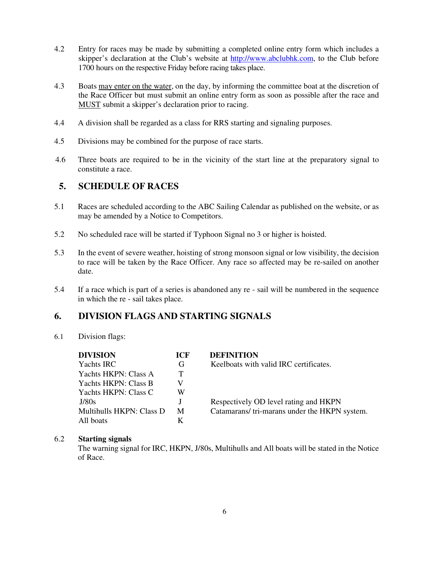- 4.2 Entry for races may be made by submitting a completed online entry form which includes a skipper's declaration at the Club's website at http://www.abclubhk.com, to the Club before 1700 hours on the respective Friday before racing takes place.
- 4.3 Boats may enter on the water, on the day, by informing the committee boat at the discretion of the Race Officer but must submit an online entry form as soon as possible after the race and MUST submit a skipper's declaration prior to racing.
- 4.4 A division shall be regarded as a class for RRS starting and signaling purposes.
- 4.5 Divisions may be combined for the purpose of race starts.
- 4.6 Three boats are required to be in the vicinity of the start line at the preparatory signal to constitute a race.

### **5. SCHEDULE OF RACES**

- 5.1 Races are scheduled according to the ABC Sailing Calendar as published on the website, or as may be amended by a Notice to Competitors.
- 5.2 No scheduled race will be started if Typhoon Signal no 3 or higher is hoisted.
- 5.3 In the event of severe weather, hoisting of strong monsoon signal or low visibility, the decision to race will be taken by the Race Officer. Any race so affected may be re-sailed on another date.
- 5.4 If a race which is part of a series is abandoned any re sail will be numbered in the sequence in which the re - sail takes place.

## **6. DIVISION FLAGS AND STARTING SIGNALS**

#### 6.1 Division flags:

| <b>DIVISION</b>          | <b>ICF</b> | <b>DEFINITION</b>                            |
|--------------------------|------------|----------------------------------------------|
| Yachts IRC               | G          | Keelboats with valid IRC certificates.       |
| Yachts HKPN: Class A     | T.         |                                              |
| Yachts HKPN: Class B     |            |                                              |
| Yachts HKPN: Class C     | W          |                                              |
| J/80s                    |            | Respectively OD level rating and HKPN        |
| Multihulls HKPN: Class D | M          | Catamarans/tri-marans under the HKPN system. |
| All boats                |            |                                              |

#### 6.2 **Starting signals**

The warning signal for IRC, HKPN, J/80s, Multihulls and All boats will be stated in the Notice of Race.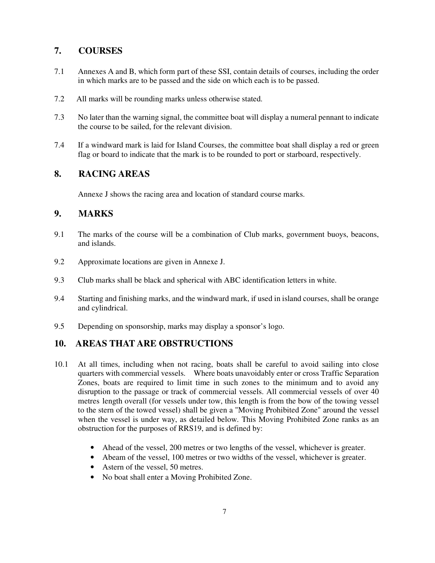## **7. COURSES**

- 7.1 Annexes A and B, which form part of these SSI, contain details of courses, including the order in which marks are to be passed and the side on which each is to be passed.
- 7.2 All marks will be rounding marks unless otherwise stated.
- 7.3 No later than the warning signal, the committee boat will display a numeral pennant to indicate the course to be sailed, for the relevant division.
- 7.4 If a windward mark is laid for Island Courses, the committee boat shall display a red or green flag or board to indicate that the mark is to be rounded to port or starboard, respectively.

## **8. RACING AREAS**

Annexe J shows the racing area and location of standard course marks.

### **9. MARKS**

- 9.1 The marks of the course will be a combination of Club marks, government buoys, beacons, and islands.
- 9.2 Approximate locations are given in Annexe J.
- 9.3 Club marks shall be black and spherical with ABC identification letters in white.
- 9.4 Starting and finishing marks, and the windward mark, if used in island courses, shall be orange and cylindrical.
- 9.5 Depending on sponsorship, marks may display a sponsor's logo.

## **10. AREAS THAT ARE OBSTRUCTIONS**

- 10.1 At all times, including when not racing, boats shall be careful to avoid sailing into close quarters with commercial vessels. Where boats unavoidably enter or cross Traffic Separation Zones, boats are required to limit time in such zones to the minimum and to avoid any disruption to the passage or track of commercial vessels. All commercial vessels of over 40 metres length overall (for vessels under tow, this length is from the bow of the towing vessel to the stern of the towed vessel) shall be given a "Moving Prohibited Zone" around the vessel when the vessel is under way, as detailed below. This Moving Prohibited Zone ranks as an obstruction for the purposes of RRS19, and is defined by:
	- Ahead of the vessel, 200 metres or two lengths of the vessel, whichever is greater.
	- Abeam of the vessel, 100 metres or two widths of the vessel, whichever is greater.
	- Astern of the vessel, 50 metres.
	- No boat shall enter a Moving Prohibited Zone.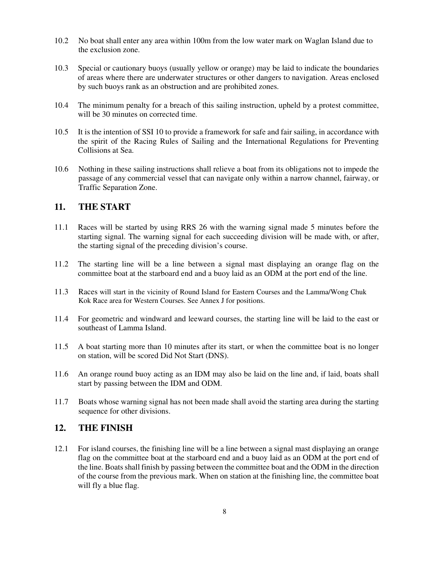- 10.2 No boat shall enter any area within 100m from the low water mark on Waglan Island due to the exclusion zone.
- 10.3 Special or cautionary buoys (usually yellow or orange) may be laid to indicate the boundaries of areas where there are underwater structures or other dangers to navigation. Areas enclosed by such buoys rank as an obstruction and are prohibited zones.
- 10.4 The minimum penalty for a breach of this sailing instruction, upheld by a protest committee, will be 30 minutes on corrected time.
- 10.5 It is the intention of SSI 10 to provide a framework for safe and fair sailing, in accordance with the spirit of the Racing Rules of Sailing and the International Regulations for Preventing Collisions at Sea.
- 10.6 Nothing in these sailing instructions shall relieve a boat from its obligations not to impede the passage of any commercial vessel that can navigate only within a narrow channel, fairway, or Traffic Separation Zone.

### **11. THE START**

- 11.1 Races will be started by using RRS 26 with the warning signal made 5 minutes before the starting signal. The warning signal for each succeeding division will be made with, or after, the starting signal of the preceding division's course.
- 11.2 The starting line will be a line between a signal mast displaying an orange flag on the committee boat at the starboard end and a buoy laid as an ODM at the port end of the line.
- 11.3 Races will start in the vicinity of Round Island for Eastern Courses and the Lamma/Wong Chuk Kok Race area for Western Courses. See Annex J for positions.
- 11.4 For geometric and windward and leeward courses, the starting line will be laid to the east or southeast of Lamma Island.
- 11.5 A boat starting more than 10 minutes after its start, or when the committee boat is no longer on station, will be scored Did Not Start (DNS).
- 11.6 An orange round buoy acting as an IDM may also be laid on the line and, if laid, boats shall start by passing between the IDM and ODM.
- 11.7 Boats whose warning signal has not been made shall avoid the starting area during the starting sequence for other divisions.

### **12. THE FINISH**

12.1 For island courses, the finishing line will be a line between a signal mast displaying an orange flag on the committee boat at the starboard end and a buoy laid as an ODM at the port end of the line. Boats shall finish by passing between the committee boat and the ODM in the direction of the course from the previous mark. When on station at the finishing line, the committee boat will fly a blue flag.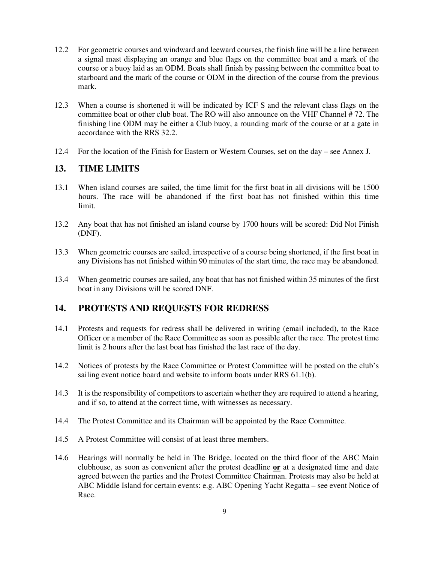- 12.2 For geometric courses and windward and leeward courses, the finish line will be a line between a signal mast displaying an orange and blue flags on the committee boat and a mark of the course or a buoy laid as an ODM. Boats shall finish by passing between the committee boat to starboard and the mark of the course or ODM in the direction of the course from the previous mark.
- 12.3 When a course is shortened it will be indicated by ICF S and the relevant class flags on the committee boat or other club boat. The RO will also announce on the VHF Channel # 72. The finishing line ODM may be either a Club buoy, a rounding mark of the course or at a gate in accordance with the RRS 32.2.
- 12.4 For the location of the Finish for Eastern or Western Courses, set on the day see Annex J.

### **13. TIME LIMITS**

- 13.1 When island courses are sailed, the time limit for the first boat in all divisions will be 1500 hours. The race will be abandoned if the first boat has not finished within this time limit.
- 13.2 Any boat that has not finished an island course by 1700 hours will be scored: Did Not Finish (DNF).
- 13.3 When geometric courses are sailed, irrespective of a course being shortened, if the first boat in any Divisions has not finished within 90 minutes of the start time, the race may be abandoned.
- 13.4 When geometric courses are sailed, any boat that has not finished within 35 minutes of the first boat in any Divisions will be scored DNF.

### **14. PROTESTS AND REQUESTS FOR REDRESS**

- 14.1 Protests and requests for redress shall be delivered in writing (email included), to the Race Officer or a member of the Race Committee as soon as possible after the race. The protest time limit is 2 hours after the last boat has finished the last race of the day.
- 14.2 Notices of protests by the Race Committee or Protest Committee will be posted on the club's sailing event notice board and website to inform boats under RRS 61.1(b).
- 14.3 It is the responsibility of competitors to ascertain whether they are required to attend a hearing, and if so, to attend at the correct time, with witnesses as necessary.
- 14.4 The Protest Committee and its Chairman will be appointed by the Race Committee.
- 14.5 A Protest Committee will consist of at least three members.
- 14.6 Hearings will normally be held in The Bridge, located on the third floor of the ABC Main clubhouse, as soon as convenient after the protest deadline **or** at a designated time and date agreed between the parties and the Protest Committee Chairman. Protests may also be held at ABC Middle Island for certain events: e.g. ABC Opening Yacht Regatta – see event Notice of Race.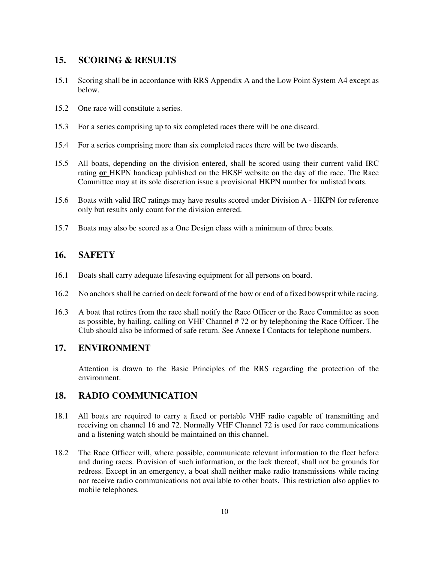### **15. SCORING & RESULTS**

- 15.1 Scoring shall be in accordance with RRS Appendix A and the Low Point System A4 except as below.
- 15.2 One race will constitute a series.
- 15.3 For a series comprising up to six completed races there will be one discard.
- 15.4 For a series comprising more than six completed races there will be two discards.
- 15.5 All boats, depending on the division entered, shall be scored using their current valid IRC rating **or** HKPN handicap published on the HKSF website on the day of the race. The Race Committee may at its sole discretion issue a provisional HKPN number for unlisted boats.
- 15.6 Boats with valid IRC ratings may have results scored under Division A HKPN for reference only but results only count for the division entered.
- 15.7 Boats may also be scored as a One Design class with a minimum of three boats.

### **16. SAFETY**

- 16.1 Boats shall carry adequate lifesaving equipment for all persons on board.
- 16.2 No anchors shall be carried on deck forward of the bow or end of a fixed bowsprit while racing.
- 16.3 A boat that retires from the race shall notify the Race Officer or the Race Committee as soon as possible, by hailing, calling on VHF Channel # 72 or by telephoning the Race Officer. The Club should also be informed of safe return. See Annexe I Contacts for telephone numbers.

### **17. ENVIRONMENT**

 Attention is drawn to the Basic Principles of the RRS regarding the protection of the environment.

### **18. RADIO COMMUNICATION**

- 18.1 All boats are required to carry a fixed or portable VHF radio capable of transmitting and receiving on channel 16 and 72. Normally VHF Channel 72 is used for race communications and a listening watch should be maintained on this channel.
- 18.2 The Race Officer will, where possible, communicate relevant information to the fleet before and during races. Provision of such information, or the lack thereof, shall not be grounds for redress. Except in an emergency, a boat shall neither make radio transmissions while racing nor receive radio communications not available to other boats. This restriction also applies to mobile telephones.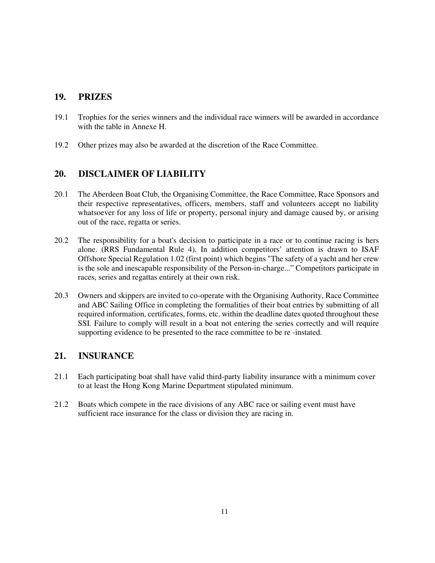## **19. PRIZES**

- 19.1 Trophies for the series winners and the individual race winners will be awarded in accordance with the table in Annexe H.
- 19.2 Other prizes may also be awarded at the discretion of the Race Committee.

## **20. DISCLAIMER OF LIABILITY**

- 20.1 The Aberdeen Boat Club, the Organising Committee, the Race Committee, Race Sponsors and their respective representatives, officers, members, staff and volunteers accept no liability whatsoever for any loss of life or property, personal injury and damage caused by, or arising out of the race, regatta or series.
- 20.2 The responsibility for a boat's decision to participate in a race or to continue racing is hers alone. (RRS Fundamental Rule 4). In addition competitors' attention is drawn to ISAF Offshore Special Regulation 1.02 (first point) which begins "The safety of a yacht and her crew is the sole and inescapable responsibility of the Person-in-charge..." Competitors participate in races, series and regattas entirely at their own risk.
- 20.3 Owners and skippers are invited to co-operate with the Organising Authority, Race Committee and ABC Sailing Office in completing the formalities of their boat entries by submitting of all required information, certificates, forms, etc. within the deadline dates quoted throughout these SSI. Failure to comply will result in a boat not entering the series correctly and will require supporting evidence to be presented to the race committee to be re -instated.

### **21. INSURANCE**

- 21.1 Each participating boat shall have valid third-party liability insurance with a minimum cover to at least the Hong Kong Marine Department stipulated minimum.
- 21.2 Boats which compete in the race divisions of any ABC race or sailing event must have sufficient race insurance for the class or division they are racing in.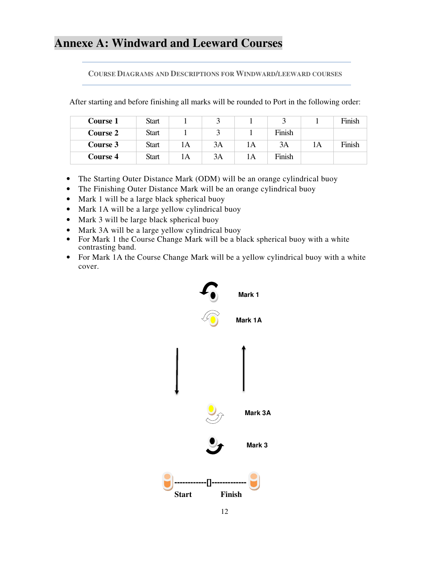# **Annexe A: Windward and Leeward Courses**

**COURSE DIAGRAMS AND DESCRIPTIONS FOR WINDWARD/LEEWARD COURSES**

After starting and before finishing all marks will be rounded to Port in the following order:

| Course 1        | <b>Start</b> |    |    |    |        |    | Finish |
|-----------------|--------------|----|----|----|--------|----|--------|
| <b>Course 2</b> | <b>Start</b> |    |    |    | Finish |    |        |
| Course 3        | <b>Start</b> | 1A | 3A | IА | 3A     | lΑ | Finish |
| Course 4        | Start        | 1A | 3A | A  | Finish |    |        |

- The Starting Outer Distance Mark (ODM) will be an orange cylindrical buoy
- The Finishing Outer Distance Mark will be an orange cylindrical buoy
- Mark 1 will be a large black spherical buoy
- Mark 1A will be a large yellow cylindrical buoy
- Mark 3 will be large black spherical buoy
- Mark 3A will be a large yellow cylindrical buoy
- For Mark 1 the Course Change Mark will be a black spherical buoy with a white contrasting band.
- For Mark 1A the Course Change Mark will be a yellow cylindrical buoy with a white cover.

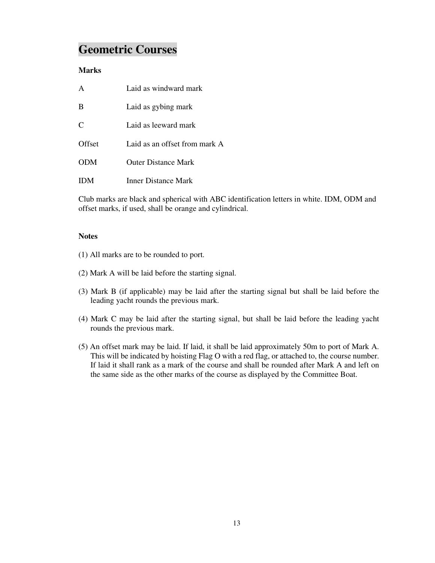# **Geometric Courses**

### **Marks**

|               | Laid as windward mark         |
|---------------|-------------------------------|
| -B            | Laid as gybing mark           |
| $\mathcal{C}$ | Laid as leeward mark          |
| Offset        | Laid as an offset from mark A |
| <b>ODM</b>    | <b>Outer Distance Mark</b>    |
|               | <b>Inner Distance Mark</b>    |

Club marks are black and spherical with ABC identification letters in white. IDM, ODM and offset marks, if used, shall be orange and cylindrical.

### **Notes**

- (1) All marks are to be rounded to port.
- (2) Mark A will be laid before the starting signal.
- (3) Mark B (if applicable) may be laid after the starting signal but shall be laid before the leading yacht rounds the previous mark.
- (4) Mark C may be laid after the starting signal, but shall be laid before the leading yacht rounds the previous mark.
- (5) An offset mark may be laid. If laid, it shall be laid approximately 50m to port of Mark A. This will be indicated by hoisting Flag O with a red flag, or attached to, the course number. If laid it shall rank as a mark of the course and shall be rounded after Mark A and left on the same side as the other marks of the course as displayed by the Committee Boat.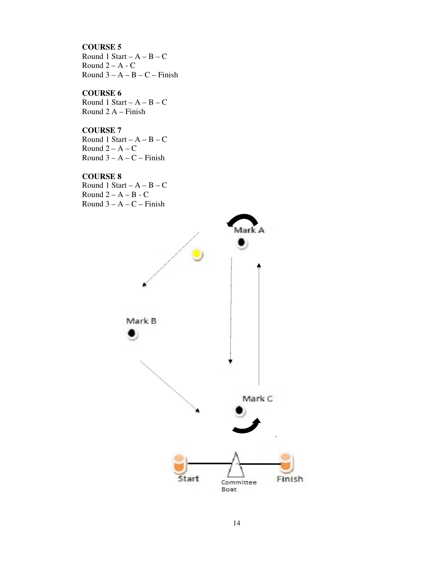#### **COURSE 5**

Round 1 Start –  $A - B - C$ Round  $2 - A - C$ Round  $3 - A - B - C - F$ inish

#### **COURSE 6**

Round 1 Start –  $A - B - C$ Round 2 A – Finish

### **COURSE 7**

Round 1 Start –  $A - B - C$ Round  $2 - A - C$ Round  $3 - A - C$  – Finish

#### **COURSE 8**

Round 1 Start –  $A - B - C$ Round  $2 - A - B - C$ Round  $3 - A - C$  – Finish

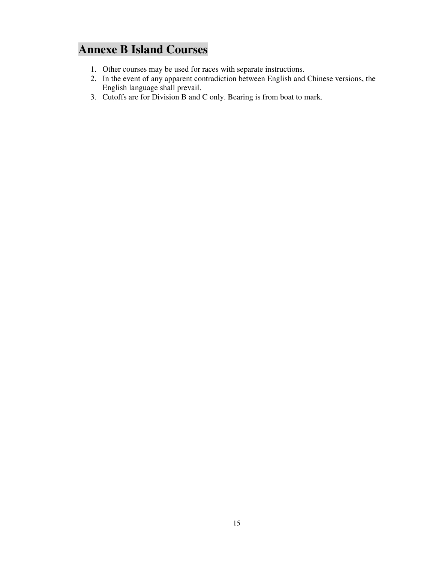# **Annexe B Island Courses**

- 1. Other courses may be used for races with separate instructions.
- 2. In the event of any apparent contradiction between English and Chinese versions, the English language shall prevail.
- 3. Cutoffs are for Division B and C only. Bearing is from boat to mark.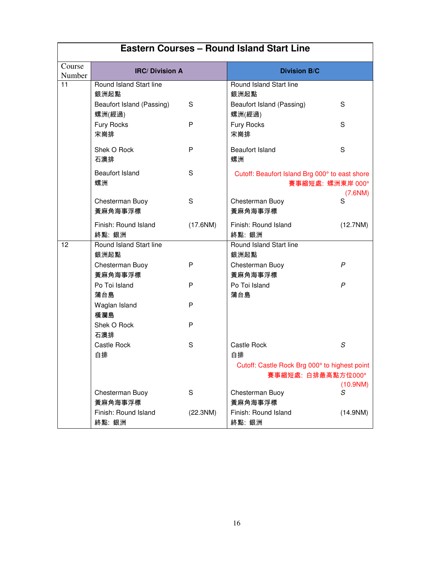|                  |                                     | <b>Eastern Courses - Round Island Start Line</b> |                                                                     |                    |
|------------------|-------------------------------------|--------------------------------------------------|---------------------------------------------------------------------|--------------------|
| Course<br>Number | <b>IRC/Division A</b>               |                                                  | <b>Division B/C</b>                                                 |                    |
| 11               | Round Island Start line<br>銀洲起點     |                                                  | Round Island Start line<br>銀洲起點                                     |                    |
|                  | Beaufort Island (Passing)<br>螺洲(經過) | S                                                | Beaufort Island (Passing)<br>螺洲(經過)                                 | S                  |
|                  | Fury Rocks<br>宋崗排                   | P                                                | Fury Rocks<br>宋崗排                                                   | S                  |
|                  | Shek O Rock<br>石澳排                  | P                                                | <b>Beaufort Island</b><br>螺洲                                        | S                  |
|                  | <b>Beaufort Island</b><br>螺洲        | S                                                | Cutoff: Beaufort Island Brg 000° to east shore<br>賽事縮短處: 螺洲東岸 000°  |                    |
|                  | Chesterman Buoy<br>黃麻角海事浮標          | S                                                | Chesterman Buoy<br>黃麻角海事浮標                                          | $(7.6$ NM $)$<br>S |
|                  | Finish: Round Island<br>終點: 銀洲      | (17.6NM)                                         | Finish: Round Island<br>終點: 銀洲                                      | (12.7NM)           |
| 12               | Round Island Start line<br>銀洲起點     |                                                  | Round Island Start line<br>銀洲起點                                     |                    |
|                  | Chesterman Buoy<br>黃麻角海事浮標          | P                                                | Chesterman Buoy<br>黃麻角海事浮標                                          | P                  |
|                  | Po Toi Island<br>蒲台島                | P                                                | Po Toi Island<br>蒲台島                                                | $\mathsf{P}$       |
|                  | Waglan Island<br>橫瀾島                | P                                                |                                                                     |                    |
|                  | Shek O Rock<br>石澳排                  | P                                                |                                                                     |                    |
|                  | Castle Rock<br>白排                   | S                                                | <b>Castle Rock</b><br>白排                                            | S                  |
|                  |                                     |                                                  | Cutoff: Castle Rock Brg 000° to highest point<br>賽事縮短處: 白排最高點方位000° |                    |
|                  | Chesterman Buoy<br>黃麻角海事浮標          | S                                                | Chesterman Buoy<br>黃麻角海事浮標                                          | (10.9NM)<br>S      |
|                  | Finish: Round Island<br>終點: 銀洲      | (22.3NM)                                         | Finish: Round Island<br>終點: 銀洲                                      | (14.9NM)           |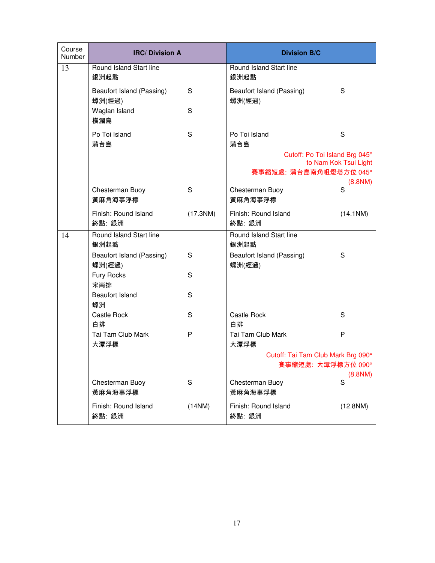| Course<br>Number | <b>IRC/Division A</b>               |             | <b>Division B/C</b>                 |                       |
|------------------|-------------------------------------|-------------|-------------------------------------|-----------------------|
| 13               | Round Island Start line<br>銀洲起點     |             | Round Island Start line<br>銀洲起點     |                       |
|                  | Beaufort Island (Passing)<br>螺洲(經過) | S           | Beaufort Island (Passing)<br>螺洲(經過) | S                     |
|                  | Waglan Island<br>橫瀾島                | S           |                                     |                       |
|                  | Po Toi Island<br>蒲台島                | S           | Po Toi Island<br>蒲台島                | S                     |
|                  |                                     |             | Cutoff: Po Toi Island Brg 045°      | to Nam Kok Tsui Light |
|                  |                                     |             | 賽事縮短處: 蒲台島南角咀燈塔方位 045°              | $(8.8$ NM $)$         |
|                  | Chesterman Buoy<br>黃麻角海事浮標          | S           | Chesterman Buoy<br>黃麻角海事浮標          | S                     |
|                  | Finish: Round Island<br>終點: 銀洲      | (17.3NM)    | Finish: Round Island<br>終點: 銀洲      | (14.1NM)              |
| 14               | Round Island Start line<br>銀洲起點     |             | Round Island Start line<br>銀洲起點     |                       |
|                  | Beaufort Island (Passing)<br>螺洲(經過) | S           | Beaufort Island (Passing)<br>螺洲(經過) | S                     |
|                  | Fury Rocks<br>宋崗排                   | S           |                                     |                       |
|                  | <b>Beaufort Island</b><br>螺洲        | S           |                                     |                       |
|                  | Castle Rock<br>白排                   | S           | Castle Rock<br>白排                   | S                     |
|                  | Tai Tam Club Mark<br>大潭浮標           | P           | Tai Tam Club Mark<br>大潭浮標           | P                     |
|                  |                                     |             | Cutoff: Tai Tam Club Mark Brg 090°  |                       |
|                  |                                     |             | 賽事縮短處: 大潭浮標方位 090°                  | $(8.8$ NM $)$         |
|                  | Chesterman Buoy<br>黃麻角海事浮標          | $\mathsf S$ | Chesterman Buoy<br>黃麻角海事浮標          | S                     |
|                  | Finish: Round Island<br>終點: 銀洲      | (14NM)      | Finish: Round Island<br>終點: 銀洲      | (12.8NM)              |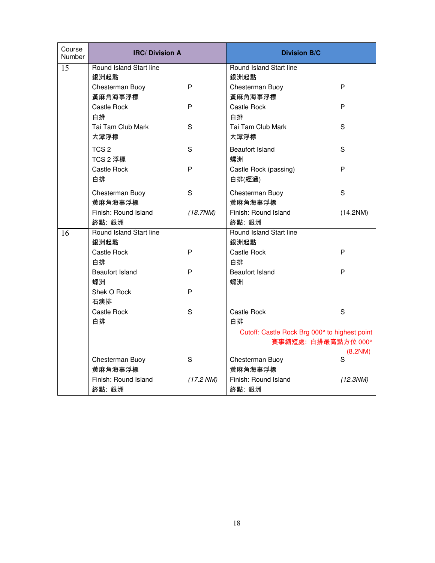| Course<br>Number | <b>IRC/Division A</b>   |                        | <b>Division B/C</b>                           |          |
|------------------|-------------------------|------------------------|-----------------------------------------------|----------|
| 15               | Round Island Start line |                        | Round Island Start line                       |          |
|                  | 銀洲起點                    |                        | 銀洲起點                                          |          |
|                  | Chesterman Buoy         | P                      | Chesterman Buoy                               | P        |
|                  | 黃麻角海事浮標                 |                        | 黃麻角海事浮標                                       |          |
|                  | Castle Rock             | P                      | Castle Rock                                   | P        |
|                  | 白排                      |                        | 白排                                            |          |
|                  | Tai Tam Club Mark       | S                      | Tai Tam Club Mark                             | S        |
|                  | 大潭浮標                    |                        | 大潭浮標                                          |          |
|                  | TCS <sub>2</sub>        | S                      | <b>Beaufort Island</b>                        | S        |
|                  | TCS 2 浮標                |                        | 螺洲                                            |          |
|                  | Castle Rock             | P                      | Castle Rock (passing)                         | P        |
|                  | 白排                      |                        | 白排(經過)                                        |          |
|                  | Chesterman Buoy         | S                      | Chesterman Buoy                               | S        |
|                  | 黃麻角海事浮標                 |                        | 黃麻角海事浮標                                       |          |
|                  | Finish: Round Island    | (18.7NM)               | Finish: Round Island                          | (14.2NM) |
|                  | 終點: 銀洲                  |                        | 終點: 銀洲                                        |          |
| 16               | Round Island Start line |                        | Round Island Start line                       |          |
|                  | 銀洲起點                    |                        | 銀洲起點                                          |          |
|                  | Castle Rock             | P                      | Castle Rock                                   | P        |
|                  | 白排                      |                        | 白排                                            |          |
|                  | <b>Beaufort Island</b>  | P                      | <b>Beaufort Island</b>                        | P        |
|                  | 螺洲                      |                        | 螺洲                                            |          |
|                  | Shek O Rock             | P                      |                                               |          |
|                  | 石澳排                     |                        |                                               |          |
|                  | Castle Rock             | S                      | Castle Rock                                   | S        |
|                  | 白排                      |                        | 白排                                            |          |
|                  |                         |                        | Cutoff: Castle Rock Brg 000° to highest point |          |
|                  |                         |                        | 賽事縮短處: 白排最高點方位 000°                           |          |
|                  |                         |                        |                                               | (8.2NM)  |
|                  | Chesterman Buoy         | S                      | Chesterman Buoy                               | S        |
|                  | 黃麻角海事浮標                 |                        | 黃麻角海事浮標                                       |          |
|                  | Finish: Round Island    | (17.2 N <sub>M</sub> ) | Finish: Round Island                          | (12.3NM) |
|                  | 終點: 銀洲                  |                        | 終點: 銀洲                                        |          |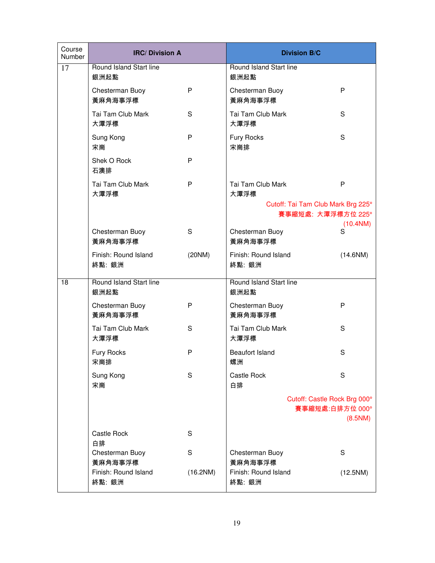| Course<br>Number | <b>IRC/Division A</b>           |          | <b>Division B/C</b>                |                            |
|------------------|---------------------------------|----------|------------------------------------|----------------------------|
| 17               | Round Island Start line<br>銀洲起點 |          | Round Island Start line<br>銀洲起點    |                            |
|                  | Chesterman Buoy<br>黃麻角海事浮標      | P        | Chesterman Buoy<br>黃麻角海事浮標         | P                          |
|                  | Tai Tam Club Mark<br>大潭浮標       | S        | Tai Tam Club Mark<br>大潭浮標          | S                          |
|                  | Sung Kong<br>宋崗                 | P        | Fury Rocks<br>宋崗排                  | S                          |
|                  | Shek O Rock<br>石澳排              | P        |                                    |                            |
|                  | Tai Tam Club Mark<br>大潭浮標       | P        | Tai Tam Club Mark<br>大潭浮標          | P                          |
|                  |                                 |          | Cutoff: Tai Tam Club Mark Brg 225° |                            |
|                  |                                 |          | 賽事縮短處: 大潭浮標方位 225°                 | (10.4NM)                   |
|                  | Chesterman Buoy<br>黃麻角海事浮標      | S        | Chesterman Buoy<br>黃麻角海事浮標         | S                          |
|                  | Finish: Round Island<br>終點: 銀洲  | (20NM)   | Finish: Round Island<br>終點: 銀洲     | (14.6NM)                   |
| 18               | Round Island Start line<br>銀洲起點 |          | Round Island Start line<br>銀洲起點    |                            |
|                  | Chesterman Buoy<br>黃麻角海事浮標      | P        | Chesterman Buoy<br>黃麻角海事浮標         | P                          |
|                  | Tai Tam Club Mark<br>大潭浮標       | S        | Tai Tam Club Mark<br>大潭浮標          | S                          |
|                  | Fury Rocks<br>宋崗排               | P        | <b>Beaufort Island</b><br>螺洲       | S                          |
|                  | Sung Kong<br>宋崗                 | S        | Castle Rock<br>白排                  | S                          |
|                  |                                 |          | Cutoff: Castle Rock Brg 000°       | 賽事縮短處:白排方位 000°<br>(8.5NM) |
|                  | Castle Rock<br>白排               | S        |                                    |                            |
|                  | Chesterman Buoy<br>黃麻角海事浮標      | S        | Chesterman Buoy<br>黃麻角海事浮標         | S                          |
|                  | Finish: Round Island<br>終點: 銀洲  | (16.2NM) | Finish: Round Island<br>終點: 銀洲     | (12.5NM)                   |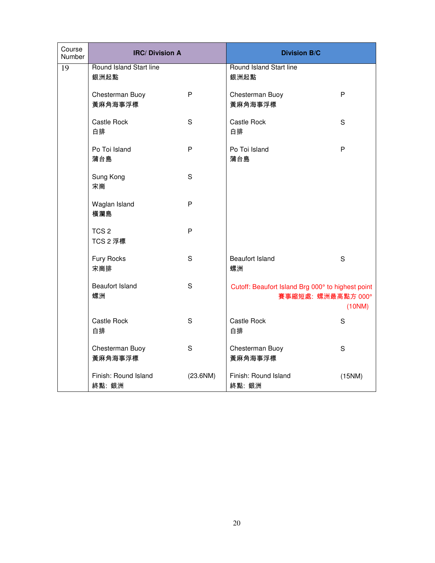| Course<br>Number | <b>IRC/Division A</b>           |             | <b>Division B/C</b>                                                     |              |
|------------------|---------------------------------|-------------|-------------------------------------------------------------------------|--------------|
| 19               | Round Island Start line<br>銀洲起點 |             | <b>Round Island Start line</b><br>銀洲起點                                  |              |
|                  | Chesterman Buoy<br>黃麻角海事浮標      | P           | Chesterman Buoy<br>黃麻角海事浮標                                              | P            |
|                  | Castle Rock<br>白排               | $\mathbf S$ | Castle Rock<br>白排                                                       | S            |
|                  | Po Toi Island<br>蒲台島            | P           | Po Toi Island<br>蒲台島                                                    | $\mathsf{P}$ |
|                  | Sung Kong<br>宋崗                 | $\mathbf S$ |                                                                         |              |
|                  | Waglan Island<br>橫瀾島            | P           |                                                                         |              |
|                  | TCS <sub>2</sub><br>TCS 2 浮標    | P           |                                                                         |              |
|                  | Fury Rocks<br>宋崗排               | $\mathbf S$ | <b>Beaufort Island</b><br>螺洲                                            | S            |
|                  | <b>Beaufort Island</b><br>螺洲    | S           | Cutoff: Beaufort Island Brg 000° to highest point<br>賽事縮短處: 螺洲最高點方 000° | (10NM)       |
|                  | Castle Rock<br>白排               | $\mathbf S$ | Castle Rock<br>白排                                                       | $\mathsf S$  |
|                  | Chesterman Buoy<br>黃麻角海事浮標      | $\mathbf S$ | Chesterman Buoy<br>黃麻角海事浮標                                              | S            |
|                  | Finish: Round Island<br>終點: 銀洲  | (23.6NM)    | Finish: Round Island<br>終點: 銀洲                                          | (15NM)       |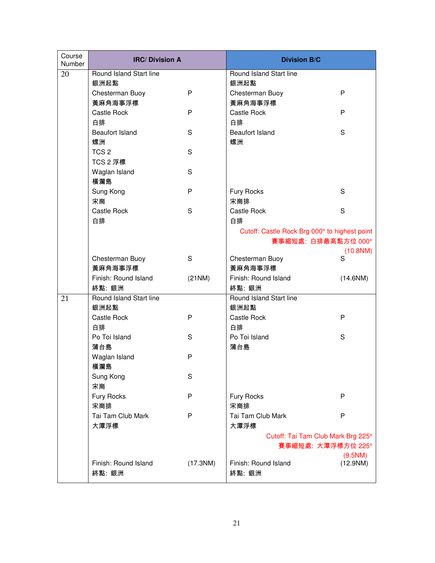| Course<br>Number | <b>IRC/Division A</b>   |          | <b>Division B/C</b>                           |          |
|------------------|-------------------------|----------|-----------------------------------------------|----------|
| 20               | Round Island Start line |          | Round Island Start line                       |          |
|                  | 銀洲起點                    |          | 銀洲起點                                          |          |
|                  | Chesterman Buoy         | P        | Chesterman Buoy                               | P        |
|                  | 黃麻角海事浮標                 |          | 黃麻角海事浮標                                       |          |
|                  | Castle Rock             | P        | Castle Rock                                   | P        |
|                  | 白排                      |          | 白排                                            |          |
|                  | <b>Beaufort Island</b>  | S        | <b>Beaufort Island</b>                        | S        |
|                  | 螺洲                      |          | 螺洲                                            |          |
|                  | TCS <sub>2</sub>        | S        |                                               |          |
|                  | TCS 2 浮標                |          |                                               |          |
|                  | Waglan Island           | S        |                                               |          |
|                  | 橫瀾島                     |          |                                               |          |
|                  | Sung Kong               | P        | Fury Rocks                                    | S        |
|                  | 宋崗                      |          | 宋崗排                                           |          |
|                  | Castle Rock             | S        | Castle Rock                                   | S        |
|                  | 白排                      |          | 白排                                            |          |
|                  |                         |          | Cutoff: Castle Rock Brg 000° to highest point |          |
|                  |                         |          | 賽事縮短處: 白排最高點方位 000°                           |          |
|                  |                         |          |                                               | (10.8NM) |
|                  | Chesterman Buoy         | S        | Chesterman Buoy                               | S        |
|                  | 黃麻角海事浮標                 |          | 黃麻角海事浮標                                       |          |
|                  | Finish: Round Island    | (21NM)   | Finish: Round Island                          | (14.6NM) |
|                  | 終點: 銀洲                  |          | 終點: 銀洲                                        |          |
| 21               | Round Island Start line |          | Round Island Start line                       |          |
|                  | 銀洲起點                    |          | 銀洲起點                                          |          |
|                  | Castle Rock             | P        | Castle Rock                                   | P        |
|                  | 白排                      |          | 白排                                            |          |
|                  | Po Toi Island           | S        | Po Toi Island                                 | S        |
|                  | 蒲台島                     |          | 蒲台島                                           |          |
|                  | Waglan Island           | P        |                                               |          |
|                  | 橫瀾島                     |          |                                               |          |
|                  | Sung Kong               | S        |                                               |          |
|                  | 宋崗                      |          |                                               |          |
|                  | Fury Rocks              | P        | Fury Rocks                                    | P        |
|                  | 宋崗排                     |          | 宋崗排                                           |          |
|                  | Tai Tam Club Mark       | P        | Tai Tam Club Mark                             | P        |
|                  | 大潭浮標                    |          | 大潭浮標                                          |          |
|                  |                         |          | Cutoff: Tai Tam Club Mark Brg 225°            |          |
|                  |                         |          | 賽事縮短處: 大潭浮標方位 225°                            |          |
|                  |                         |          |                                               | (9.5NM)  |
|                  | Finish: Round Island    | (17.3NM) | Finish: Round Island                          | (12.9NM) |
|                  | 終點: 銀洲                  |          | 終點: 銀洲                                        |          |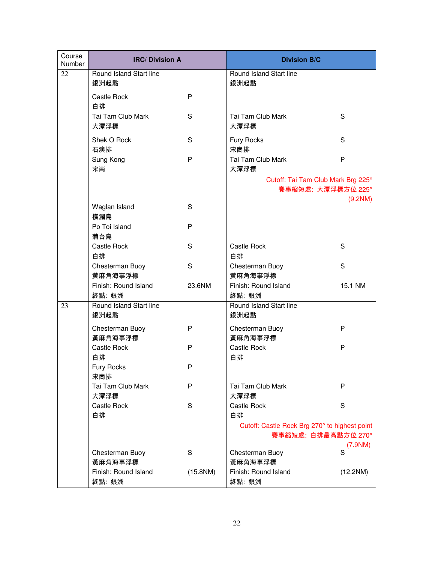| Course<br><b>Number</b> | <b>IRC/Division A</b>           |          | <b>Division B/C</b>                                                  |          |
|-------------------------|---------------------------------|----------|----------------------------------------------------------------------|----------|
| 22                      | Round Island Start line<br>銀洲起點 |          | Round Island Start line<br>銀洲起點                                      |          |
|                         | Castle Rock<br>白排               | P        |                                                                      |          |
|                         | Tai Tam Club Mark<br>大潭浮標       | S        | Tai Tam Club Mark<br>大潭浮標                                            | S        |
|                         | Shek O Rock<br>石澳排              | S        | Fury Rocks<br>宋崗排                                                    | S        |
|                         | Sung Kong<br>宋崗                 | P        | Tai Tam Club Mark<br>大潭浮標                                            | P        |
|                         |                                 |          | Cutoff: Tai Tam Club Mark Brg 225°<br>賽事縮短處: 大潭浮標方位 225°             |          |
|                         | Waglan Island                   | S        |                                                                      | (9.2NM)  |
|                         | 橫瀾島                             |          |                                                                      |          |
|                         | Po Toi Island                   | P        |                                                                      |          |
|                         | 蒲台島                             |          |                                                                      |          |
|                         | Castle Rock                     | S        | Castle Rock                                                          | S        |
|                         | 白排                              |          | 白排                                                                   |          |
|                         | Chesterman Buoy<br>黃麻角海事浮標      | S        | Chesterman Buoy<br>黃麻角海事浮標                                           | S        |
|                         | Finish: Round Island            | 23.6NM   | Finish: Round Island                                                 | 15.1 NM  |
|                         | 終點: 銀洲                          |          | 終點: 銀洲                                                               |          |
| 23                      | Round Island Start line<br>銀洲起點 |          | Round Island Start line<br>銀洲起點                                      |          |
|                         | Chesterman Buoy<br>黃麻角海事浮標      | P        | Chesterman Buoy<br>黃麻角海事浮標                                           | P        |
|                         | Castle Rock<br>白排               | P        | Castle Rock<br>白排                                                    | P        |
|                         | <b>Fury Rocks</b><br>宋崗排        | P        |                                                                      |          |
|                         | Tai Tam Club Mark<br>大潭浮標       | P        | Tai Tam Club Mark<br>大潭浮標                                            | P        |
|                         | Castle Rock<br>白排               | S        | Castle Rock<br>白排                                                    | S        |
|                         |                                 |          | Cutoff: Castle Rock Brg 270° to highest point<br>賽事縮短處: 白排最高點方位 270° |          |
|                         |                                 |          |                                                                      | (7.9NM)  |
|                         | Chesterman Buoy                 | S        | Chesterman Buoy                                                      | S        |
|                         | 黃麻角海事浮標                         |          | 黃麻角海事浮標                                                              |          |
|                         | Finish: Round Island            | (15.8NM) | Finish: Round Island                                                 | (12.2NM) |
|                         | 終點: 銀洲                          |          | 終點: 銀洲                                                               |          |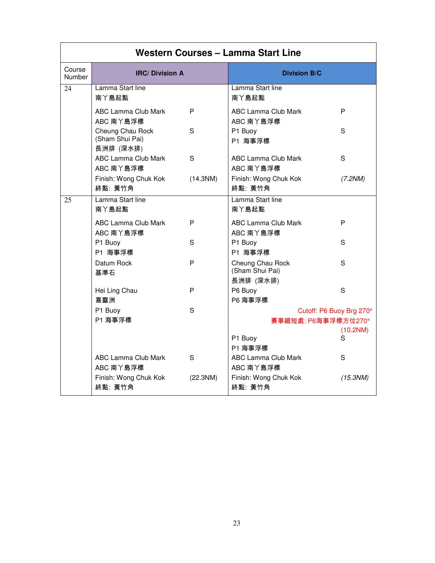|                  |                                                  |          | Western Courses - Lamma Start Line               |               |
|------------------|--------------------------------------------------|----------|--------------------------------------------------|---------------|
| Course<br>Number | <b>IRC/Division A</b>                            |          | <b>Division B/C</b>                              |               |
| 24               | Lamma Start line<br>南丫島起點                        |          | Lamma Start line<br>南丫島起點                        |               |
|                  | ABC Lamma Club Mark<br>ABC 南丫島浮標                 | P        | ABC Lamma Club Mark<br>ABC 南丫島浮標                 | P             |
|                  | Cheung Chau Rock<br>(Sham Shui Pai)<br>長洲排 (深水排) | S        | P1 Buoy<br>P1 海事浮標                               | S             |
|                  | ABC Lamma Club Mark<br>ABC 南丫島浮標                 | S.       | ABC Lamma Club Mark<br>ABC 南丫島浮標                 | S             |
|                  | Finish: Wong Chuk Kok<br>終點: 黃竹角                 | (14.3NM) | Finish: Wong Chuk Kok<br>終點: 黃竹角                 | (7.2NM)       |
| 25               | Lamma Start line<br>南丫島起點                        |          | Lamma Start line<br>南丫島起點                        |               |
|                  | ABC Lamma Club Mark<br>ABC 南丫島浮標                 | P        | ABC Lamma Club Mark<br>ABC 南丫島浮標                 | P             |
|                  | P1 Buoy<br>P1 海事浮標                               | S        | P1 Buoy<br>P1 海事浮標                               | S             |
|                  | Datum Rock<br>基準石                                | P        | Cheung Chau Rock<br>(Sham Shui Pai)<br>長洲排 (深水排) | S             |
|                  | Hei Ling Chau<br>喜靈洲                             | P        | P6 Buoy<br>P6 海事浮標                               | S             |
|                  | P1 Buoy<br>P1 海事浮標                               | S        | Cutoff: P6 Buoy Brg 270°<br>賽事縮短處: P6海事浮標方位270°  |               |
|                  |                                                  |          | P1 Buoy<br>P1 海事浮標                               | (10.2NM)<br>S |
|                  | ABC Lamma Club Mark<br>ABC 南丫島浮標                 | S        | ABC Lamma Club Mark<br>ABC 南丫島浮標                 | S             |
|                  | Finish: Wong Chuk Kok<br>終點: 黃竹角                 | (22.3NM) | Finish: Wong Chuk Kok<br>終點: 黃竹角                 | (15.3NM)      |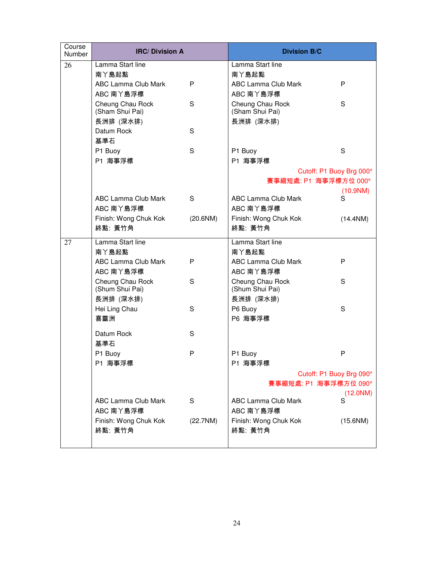| Course<br>Number | <b>IRC/Division A</b>               |          | <b>Division B/C</b>          |               |
|------------------|-------------------------------------|----------|------------------------------|---------------|
| 26               | Lamma Start line                    |          | Lamma Start line             |               |
|                  | 南丫島起點                               |          | 南丫島起點                        |               |
|                  | ABC Lamma Club Mark                 | P        | ABC Lamma Club Mark          | P             |
|                  | ABC 南丫島浮標                           |          | ABC 南丫島浮標                    |               |
|                  | Cheung Chau Rock<br>(Sham Shui Pai) | S        | Cheung Chau Rock             | S             |
|                  | 長洲排 (深水排)                           |          | (Sham Shui Pai)<br>長洲排 (深水排) |               |
|                  | Datum Rock                          | S        |                              |               |
|                  | 基準石                                 |          |                              |               |
|                  | P1 Buoy                             | S        | P1 Buoy                      | S             |
|                  | P1 海事浮標                             |          | P1 海事浮標                      |               |
|                  |                                     |          | Cutoff: P1 Buoy Brg 000°     |               |
|                  |                                     |          | 賽事縮短處: P1 海事浮標方位 000°        |               |
|                  |                                     |          |                              | (10.9NM)      |
|                  | ABC Lamma Club Mark                 | S        | ABC Lamma Club Mark          | S             |
|                  | ABC 南丫島浮標                           |          | ABC 南丫島浮標                    |               |
|                  | Finish: Wong Chuk Kok               | (20.6NM) | Finish: Wong Chuk Kok        | (14.4NM)      |
|                  | 終點: 黃竹角                             |          | 終點: 黃竹角                      |               |
| 27               | Lamma Start line                    |          | Lamma Start line             |               |
|                  | 南丫島起點                               |          | 南丫島起點                        |               |
|                  | ABC Lamma Club Mark                 | P        | ABC Lamma Club Mark          | P             |
|                  | ABC 南丫島浮標                           |          | ABC 南丫島浮標                    |               |
|                  | Cheung Chau Rock                    | S        | Cheung Chau Rock             | S             |
|                  | (Shum Shui Pai)                     |          | (Shum Shui Pai)              |               |
|                  | 長洲排 (深水排)<br>Hei Ling Chau          | S        | 長洲排 (深水排)<br>P6 Buoy         | S             |
|                  | 喜靈洲                                 |          | P6 海事浮標                      |               |
|                  |                                     |          |                              |               |
|                  | Datum Rock                          | S        |                              |               |
|                  | 基準石                                 |          |                              |               |
|                  | P1 Buoy                             | P        | P1 Buoy                      | P             |
|                  | P1 海事浮標                             |          | P1 海事浮標                      |               |
|                  |                                     |          | Cutoff: P1 Buoy Brg 090°     |               |
|                  |                                     |          | 賽事縮短處: P1 海事浮標方位 090°        |               |
|                  | ABC Lamma Club Mark                 | S        | <b>ABC Lamma Club Mark</b>   | (12.0NM)<br>S |
|                  | ABC 南丫島浮標                           |          | ABC 南丫島浮標                    |               |
|                  | Finish: Wong Chuk Kok               | (22.7NM) | Finish: Wong Chuk Kok        | (15.6NM)      |
|                  | 終點: 黃竹角                             |          | 終點: 黃竹角                      |               |
|                  |                                     |          |                              |               |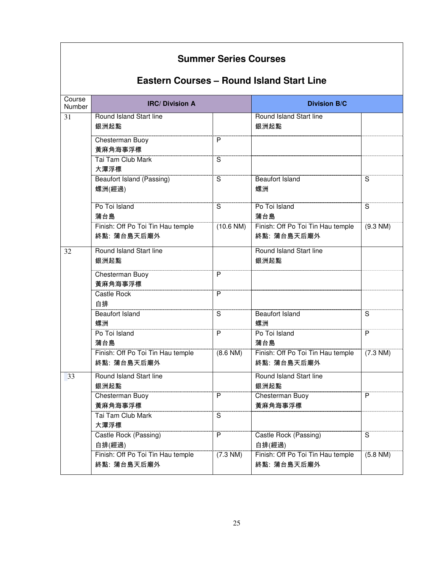|                  | <b>Summer Series Courses</b><br><b>Eastern Courses - Round Island Start Line</b> |                         |                                                  |                         |  |
|------------------|----------------------------------------------------------------------------------|-------------------------|--------------------------------------------------|-------------------------|--|
| Course<br>Number | <b>IRC/Division A</b>                                                            |                         | <b>Division B/C</b>                              |                         |  |
| 31               | Round Island Start line<br>銀洲起點                                                  |                         | Round Island Start line<br>銀洲起點                  |                         |  |
|                  | Chesterman Buoy<br>黃麻角海事浮標                                                       | P                       |                                                  |                         |  |
|                  | Tai Tam Club Mark<br>大潭浮標                                                        | $\overline{\mathsf{s}}$ |                                                  |                         |  |
|                  | <b>Beaufort Island (Passing)</b><br>螺洲(經過)                                       | $\overline{\mathsf{s}}$ | Beaufort Island<br>螺洲                            | S                       |  |
|                  | Po Toi Island<br>蒲台島                                                             | S                       | Po Toi Island<br>蒲台島                             | S                       |  |
|                  | Finish: Off Po Toi Tin Hau temple<br>終點: 蒲台島天后廟外                                 | (10.6 N)                | Finish: Off Po Toi Tin Hau temple<br>終點: 蒲台島天后廟外 | $(9.3 \text{ NM})$      |  |
| 32               | Round Island Start line<br>銀洲起點                                                  |                         | Round Island Start line<br>銀洲起點                  |                         |  |
|                  | Chesterman Buoy<br>黃麻角海事浮標                                                       | $\overline{P}$          |                                                  |                         |  |
|                  | Castle Rock<br>白排                                                                | P                       |                                                  |                         |  |
|                  | <b>Beaufort Island</b><br>螺洲                                                     | S                       | <b>Beaufort Island</b><br>螺洲                     | S                       |  |
|                  | Po Toi Island<br>蒲台島                                                             | $\overline{P}$          | Po Toi Island<br>蒲台島                             | $\overline{P}$          |  |
|                  | Finish: Off Po Toi Tin Hau temple<br>終點: 蒲台島天后廟外                                 | $(8.6$ NM $)$           | Finish: Off Po Toi Tin Hau temple<br>終點: 蒲台島天后廟外 | $(7.3 \text{ NM})$      |  |
| 33               | Round Island Start line<br>銀洲起點                                                  |                         | Round Island Start line<br>銀洲起點                  |                         |  |
|                  | Chesterman Buoy                                                                  | P                       | <b>Chesterman Buoy</b>                           | P                       |  |
|                  | 黃麻角海事浮標                                                                          |                         | 黃麻角海事浮標                                          |                         |  |
|                  | Tai Tam Club Mark<br>大潭浮標                                                        | $\overline{\mathsf{s}}$ |                                                  |                         |  |
|                  | Castle Rock (Passing)<br>白排(經過)                                                  | $\overline{P}$          | Castle Rock (Passing)<br>白排(經過)                  | $\overline{\mathbf{s}}$ |  |
|                  | Finish: Off Po Toi Tin Hau temple<br>終點: 蒲台島天后廟外                                 | $(7.3 \text{ NM})$      | Finish: Off Po Toi Tin Hau temple<br>終點: 蒲台島天后廟外 | $(5.8$ NM)              |  |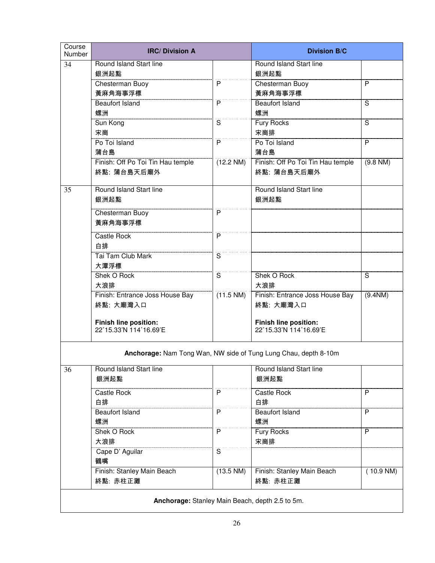| Course<br>Number | <b>IRC/Division A</b>                           |                         | <b>Division B/C</b>                                             |                         |
|------------------|-------------------------------------------------|-------------------------|-----------------------------------------------------------------|-------------------------|
| 34               | Round Island Start line                         |                         | Round Island Start line                                         |                         |
|                  | 銀洲起點                                            |                         | 銀洲起點                                                            |                         |
|                  | Chesterman Buoy                                 | P                       | Chesterman Buoy                                                 | P                       |
|                  | 黃麻角海事浮標                                         |                         | 黃麻角海事浮標                                                         |                         |
|                  | <b>Beaufort Island</b><br>螺洲                    | P                       | <b>Beaufort Island</b><br>螺洲                                    | $\overline{\mathsf{s}}$ |
|                  | Sun Kong                                        | $\overline{\mathsf{s}}$ | Fury Rocks                                                      | S                       |
|                  | 宋崗                                              |                         | 宋崗排                                                             |                         |
|                  | Po Toi Island                                   | $\overline{P}$          | Po Toi Island                                                   | P                       |
|                  | 蒲台島                                             |                         | 蒲台島                                                             |                         |
|                  | Finish: Off Po Toi Tin Hau temple               | (12.2 NM)               | Finish: Off Po Toi Tin Hau temple                               | (9.8 NM)                |
|                  | 終點: 蒲台島天后廟外                                     |                         | 終點: 蒲台島天后廟外                                                     |                         |
| 35               | Round Island Start line                         |                         | Round Island Start line                                         |                         |
|                  | 銀洲起點                                            |                         | 銀洲起點                                                            |                         |
|                  | Chesterman Buoy                                 | P                       |                                                                 |                         |
|                  | 黃麻角海事浮標                                         |                         |                                                                 |                         |
|                  | Castle Rock                                     | $\overline{P}$          |                                                                 |                         |
|                  | 白排                                              |                         |                                                                 |                         |
|                  | <b>Tai Tam Club Mark</b>                        | $\overline{\mathbf{s}}$ |                                                                 |                         |
|                  | 大潭浮標                                            |                         |                                                                 |                         |
|                  | Shek O Rock                                     | $\overline{\mathbf{s}}$ | Shek O Rock                                                     | $\overline{\mathsf{s}}$ |
|                  | 大浪排<br>Finish: Entrance Joss House Bay          | $(11.5$ NM)             | 大浪排<br>Finish: Entrance Joss House Bay                          | $(9.4$ NM)              |
|                  | 終點: 大廟灣入口                                       |                         | 終點: 大廟灣入口                                                       |                         |
|                  |                                                 |                         |                                                                 |                         |
|                  | <b>Finish line position:</b>                    |                         | <b>Finish line position:</b>                                    |                         |
|                  | 22°15.33'N 114°16.69'E                          |                         | 22°15.33'N 114°16.69'E                                          |                         |
|                  |                                                 |                         | Anchorage: Nam Tong Wan, NW side of Tung Lung Chau, depth 8-10m |                         |
|                  |                                                 |                         |                                                                 |                         |
| 36               | Round Island Start line<br>銀洲起點                 |                         | Round Island Start line<br>銀洲起點                                 |                         |
|                  |                                                 |                         |                                                                 |                         |
|                  | <b>Castle Rock</b>                              | P                       | Castle Rock                                                     | P                       |
|                  | 白排                                              |                         | 白排                                                              |                         |
|                  | <b>Beaufort Island</b>                          | $\mathsf{P}$            | Beaufort Island                                                 | P                       |
|                  | 螺洲<br>Shek O Rock                               | P                       | 螺洲<br>Fury Rocks                                                | P                       |
|                  | 大浪排                                             |                         | 宋崗排                                                             |                         |
|                  | Cape D' Aguilar                                 | $\overline{\mathbf{s}}$ |                                                                 |                         |
|                  | 鶴嘴                                              |                         |                                                                 |                         |
|                  | Finish: Stanley Main Beach                      | (13.5 NM)               | Finish: Stanley Main Beach                                      | (10.9 NM)               |
|                  | 終點: 赤柱正灘                                        |                         | 終點: 赤柱正灘                                                        |                         |
|                  |                                                 |                         |                                                                 |                         |
|                  | Anchorage: Stanley Main Beach, depth 2.5 to 5m. |                         |                                                                 |                         |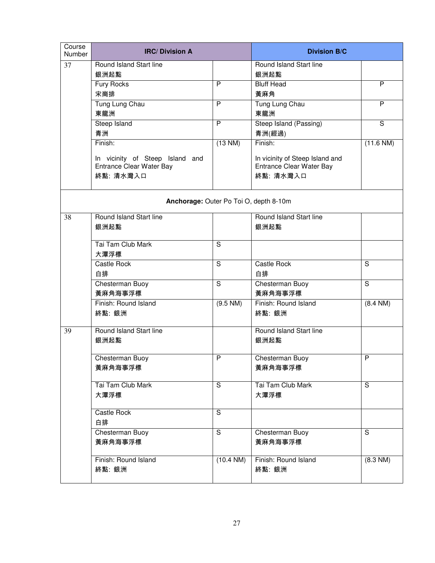| Course<br><b>Number</b> | <b>IRC/Division A</b>                                       |                         | <b>Division B/C</b>                                         |                         |
|-------------------------|-------------------------------------------------------------|-------------------------|-------------------------------------------------------------|-------------------------|
| 37                      | Round Island Start line                                     |                         | Round Island Start line                                     |                         |
|                         | 銀洲起點                                                        |                         | 銀洲起點                                                        |                         |
|                         | Fury Rocks                                                  | P                       | <b>Bluff Head</b>                                           | P                       |
|                         | 宋崗排                                                         |                         | 黃麻角                                                         |                         |
|                         | Tung Lung Chau                                              | P                       | Tung Lung Chau                                              | P                       |
|                         | 東龍洲                                                         |                         | 東龍洲                                                         |                         |
|                         | Steep Island                                                | P                       | Steep Island (Passing)                                      | $\overline{\mathsf{s}}$ |
|                         | 青洲                                                          |                         | 青洲(經過)                                                      |                         |
|                         | Finish:                                                     | $(13 \text{ NM})$       | Finish:                                                     | (11.6 N)                |
|                         |                                                             |                         |                                                             |                         |
|                         | In vicinity of Steep Island and<br>Entrance Clear Water Bay |                         | In vicinity of Steep Island and<br>Entrance Clear Water Bay |                         |
|                         | 終點: 清水灣入口                                                   |                         | 終點: 清水灣入口                                                   |                         |
|                         |                                                             |                         |                                                             |                         |
|                         | Anchorage: Outer Po Toi O, depth 8-10m                      |                         |                                                             |                         |
| 38                      | Round Island Start line                                     |                         | Round Island Start line                                     |                         |
|                         | 銀洲起點                                                        |                         | 銀洲起點                                                        |                         |
|                         |                                                             |                         |                                                             |                         |
|                         | Tai Tam Club Mark                                           | S                       |                                                             |                         |
|                         | 大潭浮標                                                        |                         |                                                             |                         |
|                         | Castle Rock                                                 | $\overline{\mathsf{s}}$ | Castle Rock                                                 | $\overline{s}$          |
|                         | 白排                                                          |                         | 白排                                                          |                         |
|                         | Chesterman Buoy                                             | $\overline{\mathsf{s}}$ | Chesterman Buoy                                             | $\overline{\mathsf{s}}$ |
|                         | 黃麻角海事浮標                                                     |                         | 黃麻角海事浮標                                                     |                         |
|                         | Finish: Round Island                                        | (9.5 NM)                | Finish: Round Island                                        | $(8.4 \text{ NM})$      |
|                         | 終點: 銀洲                                                      |                         | 終點: 銀洲                                                      |                         |
|                         |                                                             |                         |                                                             |                         |
| 39                      | Round Island Start line                                     |                         | Round Island Start line                                     |                         |
|                         | 銀洲起點                                                        |                         | 銀洲起點                                                        |                         |
|                         | Chesterman Buov                                             | P                       | Chesterman Buoy                                             | P                       |
|                         | 黃麻角海事浮標                                                     |                         | 黃麻角海事浮標                                                     |                         |
|                         |                                                             |                         |                                                             |                         |
|                         | Tai Tam Club Mark                                           | S                       | Tai Tam Club Mark                                           | S                       |
|                         | 大潭浮標                                                        |                         | 大潭浮標                                                        |                         |
|                         |                                                             |                         |                                                             |                         |
|                         | Castle Rock                                                 | $\overline{s}$          |                                                             |                         |
|                         | 白排                                                          |                         |                                                             |                         |
|                         | Chesterman Buoy                                             | S                       | Chesterman Buoy                                             | S                       |
|                         | 黃麻角海事浮標                                                     |                         | 黃麻角海事浮標                                                     |                         |
|                         |                                                             |                         |                                                             |                         |
|                         | Finish: Round Island                                        | (10.4 N)                | Finish: Round Island                                        | (8.3 NM)                |
|                         | 終點: 銀洲                                                      |                         | 終點: 銀洲                                                      |                         |
|                         |                                                             |                         |                                                             |                         |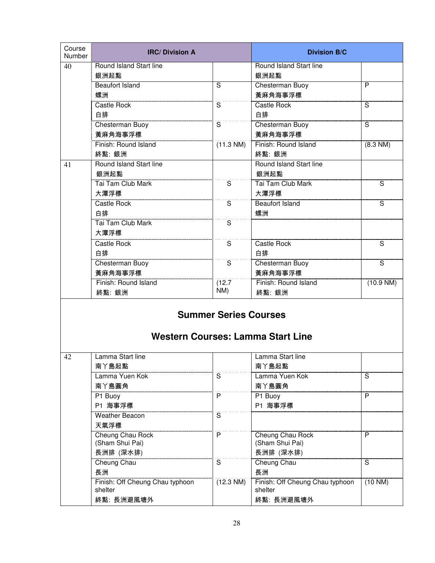| Course<br>Number | <b>IRC/Division A</b>                      |                              | <b>Division B/C</b>                        |                         |
|------------------|--------------------------------------------|------------------------------|--------------------------------------------|-------------------------|
| 40               | Round Island Start line<br>銀洲起點            |                              | Round Island Start line<br>銀洲起點            |                         |
|                  | <b>Beaufort Island</b>                     | S                            | Chesterman Buoy                            | P                       |
|                  | 螺洲                                         |                              | 黃麻角海事浮標                                    |                         |
|                  | Castle Rock                                | $\overline{\mathbf{s}}$      | Castle Rock                                | $\overline{\mathsf{s}}$ |
|                  | 白排                                         |                              | 白排                                         |                         |
|                  | Chesterman Buoy<br>黃麻角海事浮標                 | $\overline{\mathbf{s}}$      | Chesterman Buoy<br>黃麻角海事浮標                 | ์ริ                     |
|                  | Finish: Round Island<br>終點: 銀洲             | $(11.3 \text{ NM})$          | Finish: Round Island<br>終點: 銀洲             | (8.3 NM)                |
| 41               | Round Island Start line<br>銀洲起點            |                              | Round Island Start line<br>銀洲起點            |                         |
|                  | Tai Tam Club Mark                          | $\overline{\mathbf{s}}$      | Tai Tam Club Mark                          | $\overline{s}$          |
|                  | 大潭浮標                                       |                              | 大潭浮標                                       |                         |
|                  | Castle Rock                                | $\overline{\mathbf{s}}$      | <b>Beaufort Island</b>                     | $\overline{s}$          |
|                  | 白排                                         |                              | 螺洲                                         |                         |
|                  | Tai Tam Club Mark                          | $\overline{\mathbf{s}}$      |                                            |                         |
|                  | 大潭浮標                                       |                              |                                            |                         |
|                  | Castle Rock                                | $\overline{\mathbf{s}}$      | Castle Rock                                | $\overline{s}$          |
|                  | 白排                                         |                              | 白排                                         |                         |
|                  | Chesterman Buoy                            | $\overline{\mathbf{s}}$      | Chesterman Buoy                            | $\overline{\mathsf{s}}$ |
|                  | 黃麻角海事浮標                                    |                              | 黃麻角海事浮標                                    |                         |
|                  | Finish: Round Island                       | (12.7)                       | Finish: Round Island                       | (10.9 N)                |
|                  | 終點: 銀洲                                     | NM)                          | 終點: 銀洲                                     |                         |
|                  |                                            | <b>Summer Series Courses</b> | <b>Western Courses: Lamma Start Line</b>   |                         |
| 42               | Lamma Start line                           |                              | Lamma Start line                           |                         |
|                  | 南丫島起點                                      |                              | 南丫島起點                                      |                         |
|                  | Lamma Yuen Kok                             | $\overline{\mathsf{s}}$      | Lamma Yuen Kok                             | S                       |
|                  | 南丫島圓角                                      |                              | 南丫島圓角                                      |                         |
|                  | P1 Buoy                                    | P                            | P1 Buoy                                    | P                       |
|                  | P1 海事浮標                                    |                              | P1 海事浮標                                    |                         |
|                  | <b>Weather Beacon</b>                      | $\overline{s}$               |                                            |                         |
|                  | 天氣浮標                                       |                              |                                            |                         |
|                  | Cheung Chau Rock<br>(Sham Shui Pai)        | P                            | Cheung Chau Rock<br>(Sham Shui Pai)        | P                       |
|                  | 長洲排 (深水排)                                  |                              | 長洲排 (深水排)                                  |                         |
|                  | Cheung Chau                                | S                            | Cheung Chau                                | $\overline{\mathsf{s}}$ |
|                  | 長洲                                         |                              | 長洲                                         |                         |
|                  | Finish: Off Cheung Chau typhoon<br>shelter | $(12.3 \text{ NM})$          | Finish: Off Cheung Chau typhoon<br>shelter | $(10 \text{ NM})$       |
|                  | 終點: 長洲避風塘外                                 |                              | 終點: 長洲避風塘外                                 |                         |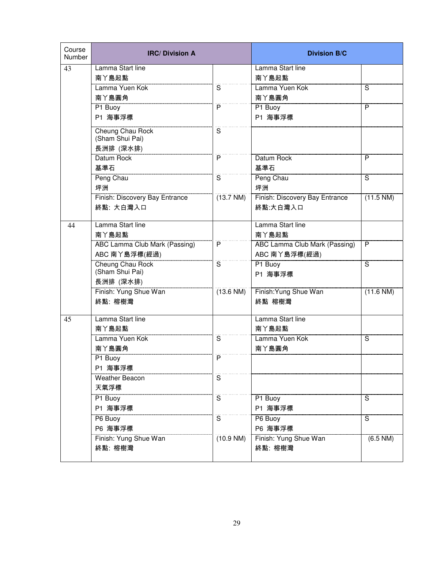| Course<br>Number | <b>IRC/Division A</b>                |                         | <b>Division B/C</b>            |            |
|------------------|--------------------------------------|-------------------------|--------------------------------|------------|
| 43               | Lamma Start line                     |                         | Lamma Start line               |            |
|                  | 南丫島起點                                |                         | 南丫島起點                          |            |
|                  | Lamma Yuen Kok                       | S                       | Lamma Yuen Kok                 | S          |
|                  | 南丫島圓角                                |                         | 南丫島圓角                          |            |
|                  | P1 Buoy                              | P                       | P1 Buoy                        | P          |
|                  | P1 海事浮標                              |                         | P1 海事浮標                        |            |
|                  | Cheung Chau Rock                     | $\overline{\mathbf{s}}$ |                                |            |
|                  | (Sham Shui Pai)                      |                         |                                |            |
|                  | 長洲排 (深水排)                            |                         |                                |            |
|                  | Datum Rock                           | P                       | Datum Rock                     | P          |
|                  | 基準石                                  |                         | 基準石                            |            |
|                  | Peng Chau                            | $\overline{\mathbf{s}}$ | Peng Chau                      | ์ริ        |
|                  | 坪洲                                   |                         | 坪洲                             |            |
|                  | Finish: Discovery Bay Entrance       | (13.7 N)                | Finish: Discovery Bay Entrance | (11.5 NM)  |
|                  | 終點: 大白灣入口                            |                         | 終點:大白灣入口                       |            |
| 44               | Lamma Start line                     |                         | Lamma Start line               |            |
|                  | 南丫島起點                                |                         | 南丫島起點                          |            |
|                  | <b>ABC Lamma Club Mark (Passing)</b> | P                       | ABC Lamma Club Mark (Passing)  | P          |
|                  | ABC 南丫島浮標(經過)                        |                         | ABC 南丫島浮標(經過)                  |            |
|                  | <b>Cheung Chau Rock</b>              | $\overline{\mathbf{s}}$ | P1 Buoy                        | S          |
|                  | (Sham Shui Pai)                      |                         | P1 海事浮標                        |            |
|                  | 長洲排 (深水排)                            |                         |                                |            |
|                  | Finish: Yung Shue Wan                | $(13.6 \text{ NM})$     | Finish: Yung Shue Wan          | (11.6 N)   |
|                  | 終點: 榕樹灣                              |                         | 終點 榕樹灣                         |            |
| 45               | Lamma Start line                     |                         | Lamma Start line               |            |
|                  | 南丫島起點                                |                         | 南丫島起點                          |            |
|                  | Lamma Yuen Kok                       | S                       | Lamma Yuen Kok                 | S          |
|                  | 南丫島圓角                                |                         | 南丫島圓角                          |            |
|                  | P1 Buoy                              | P                       |                                |            |
|                  | P1 海事浮標                              |                         |                                |            |
|                  | <b>Weather Beacon</b>                | S                       |                                |            |
|                  | 天氣浮標                                 |                         |                                |            |
|                  | P1 Buoy                              | $\mathsf S$             | P1 Buoy                        | S          |
|                  | P1 海事浮標                              |                         | P1 海事浮標                        |            |
|                  | P6 Buoy                              | S                       | P6 Buoy                        | S          |
|                  | P6 海事浮標                              |                         | P6 海事浮標                        |            |
|                  | Finish: Yung Shue Wan                | (10.9 N)                | Finish: Yung Shue Wan          | $(6.5$ NM) |
|                  | 終點: 榕樹灣                              |                         | 終點: 榕樹灣                        |            |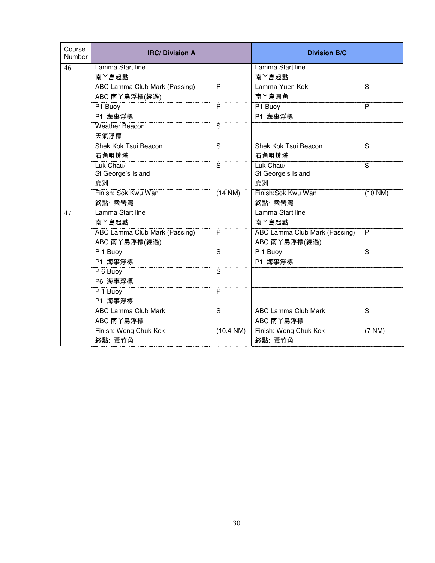| Course<br>Number | <b>IRC/Division A</b>                |                         | <b>Division B/C</b>           |                         |
|------------------|--------------------------------------|-------------------------|-------------------------------|-------------------------|
| 46               | Lamma Start line                     |                         | Lamma Start line              |                         |
|                  | 南丫島起點                                |                         | 南丫島起點                         |                         |
|                  | <b>ABC Lamma Club Mark (Passing)</b> | P                       | Lamma Yuen Kok                | $\overline{\mathsf{s}}$ |
|                  | ABC 南丫島浮標(經過)                        |                         | 南丫島圓角                         |                         |
|                  | P1 Buoy                              | P                       | P1 Buoy                       | P                       |
|                  | P1 海事浮標                              |                         | P1 海事浮標                       |                         |
|                  | <b>Weather Beacon</b>                | S                       |                               |                         |
|                  | 天氣浮標                                 |                         |                               |                         |
|                  | <b>Shek Kok Tsui Beacon</b>          | S                       | <b>Shek Kok Tsui Beacon</b>   | S                       |
|                  | 石角咀燈塔                                |                         | 石角咀燈塔                         |                         |
|                  | Luk Chau/                            | $\overline{\mathbf{s}}$ | Luk Chau/                     | $\overline{\mathsf{s}}$ |
|                  | St George's Island                   |                         | St George's Island            |                         |
|                  | 鹿洲                                   |                         | 鹿洲                            |                         |
|                  | Finish: Sok Kwu Wan                  | $(14 \text{ NM})$       | Finish: Sok Kwu Wan           | (10 N)                  |
|                  | 終點: 索罟灣                              |                         | 終點: 索罟灣                       |                         |
| 47               | Lamma Start line                     |                         | Lamma Start line              |                         |
|                  | 南丫島起點                                |                         | 南丫島起點                         |                         |
|                  | <b>ABC Lamma Club Mark (Passing)</b> | $\overline{P}$          | ABC Lamma Club Mark (Passing) | $\overline{P}$          |
|                  | ABC 南丫島浮標(經過)                        |                         | ABC 南丫島浮標(經過)                 |                         |
|                  | P 1 Buoy                             | $\overline{\mathsf{s}}$ | P 1 Buoy                      | $\overline{\mathsf{s}}$ |
|                  | P1 海事浮標                              |                         | P1 海事浮標                       |                         |
|                  | P 6 Buoy                             | S                       |                               |                         |
|                  | P6 海事浮標                              |                         |                               |                         |
|                  | P 1 Buoy                             | $\overline{P}$          |                               |                         |
|                  | P1 海事浮標                              |                         |                               |                         |
|                  | <b>ABC Lamma Club Mark</b>           | $\overline{\mathsf{s}}$ | <b>ABC Lamma Club Mark</b>    | S                       |
|                  | ABC 南丫島浮標                            |                         | ABC 南丫島浮標                     |                         |
|                  | Finish: Wong Chuk Kok                | (10.4 N)                | Finish: Wong Chuk Kok         | $(7 \text{ NM})$        |
|                  | 終點:黃竹角                               |                         | 終點: 黃竹角                       |                         |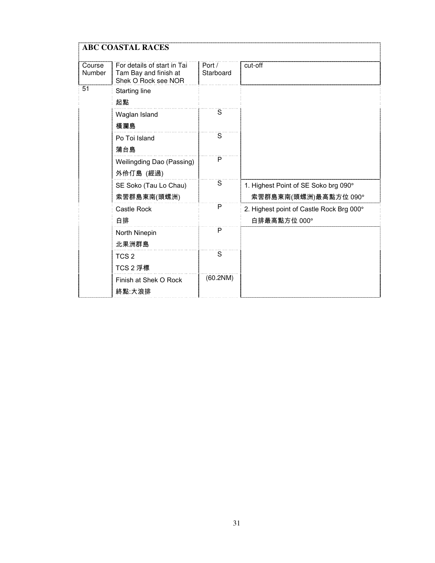|                  | <b>ABC COASTAL RACES</b>                                                    |                         |                                                               |  |  |
|------------------|-----------------------------------------------------------------------------|-------------------------|---------------------------------------------------------------|--|--|
| Course<br>Number | For details of start in Tai<br>Tam Bay and finish at<br>Shek O Rock see NOR | Port /<br>Starboard     | cut-off                                                       |  |  |
| 51               | Starting line<br>起點                                                         |                         |                                                               |  |  |
|                  | Waglan Island<br>橫瀾島                                                        | $\overline{\mathbf{s}}$ |                                                               |  |  |
|                  | Po Toi Island<br>蒲台島                                                        | S                       |                                                               |  |  |
|                  | Weilingding Dao (Passing)<br>外伶仃島 (經過)                                      | P                       |                                                               |  |  |
|                  | SE Soko (Tau Lo Chau)<br>索罟群島東南(頭螺洲)                                        | S                       | 1. Highest Point of SE Soko brg 090°<br>索罟群島東南(頭螺洲)最高點方位 090° |  |  |
|                  | <b>Castle Rock</b><br>白排                                                    | P                       | 2. Highest point of Castle Rock Brg 000°<br>白排最高點方位 000°      |  |  |
|                  | North Ninepin<br>北果洲群島                                                      | P                       |                                                               |  |  |
|                  | TCS <sub>2</sub><br>TCS 2 浮標                                                | S                       |                                                               |  |  |
|                  | Finish at Shek O Rock<br>終點:大浪排                                             | (60.2NM)                |                                                               |  |  |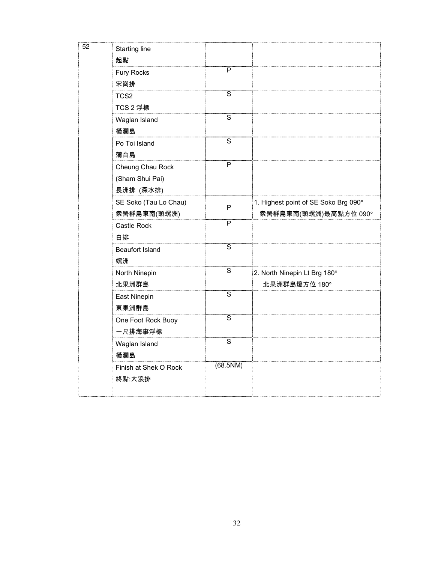| $\overline{52}$ | Starting line<br>起點    |                |                                      |
|-----------------|------------------------|----------------|--------------------------------------|
|                 | Fury Rocks<br>宋崗排      | P              |                                      |
|                 | TCS <sub>2</sub>       | S              |                                      |
|                 | TCS 2 浮標               |                |                                      |
|                 | Waglan Island          | $\overline{s}$ |                                      |
|                 | 橫瀾島                    |                |                                      |
|                 | Po Toi Island          | $\overline{s}$ |                                      |
|                 | 蒲台島                    |                |                                      |
|                 | Cheung Chau Rock       | $\overline{P}$ |                                      |
|                 | (Sham Shui Pai)        |                |                                      |
|                 | 長洲排 (深水排)              |                |                                      |
|                 | SE Soko (Tau Lo Chau)  | P              | 1. Highest point of SE Soko Brg 090° |
|                 | 索罟群島東南(頭螺洲)            |                | 索罟群島東南(頭螺洲)最高點方位 090°                |
|                 | Castle Rock            | P              |                                      |
|                 | 白排                     |                |                                      |
|                 | <b>Beaufort Island</b> | $\overline{s}$ |                                      |
|                 | 螺洲                     |                |                                      |
|                 | North Ninepin          | $\mathbf S$    | 2. North Ninepin Lt Brg 180°         |
|                 | 北果洲群島                  |                | 北果洲群島燈方位 180°                        |
|                 | East Ninepin           | $\overline{s}$ |                                      |
|                 | 東果洲群島                  |                |                                      |
|                 | One Foot Rock Buoy     | $\overline{s}$ |                                      |
|                 | 一尺排海事浮標                |                |                                      |
|                 | Waglan Island          | $\overline{s}$ |                                      |
|                 | 橫瀾島                    |                |                                      |
|                 | Finish at Shek O Rock  | (68.5NM)       |                                      |
|                 | 終點:大浪排                 |                |                                      |
|                 |                        |                |                                      |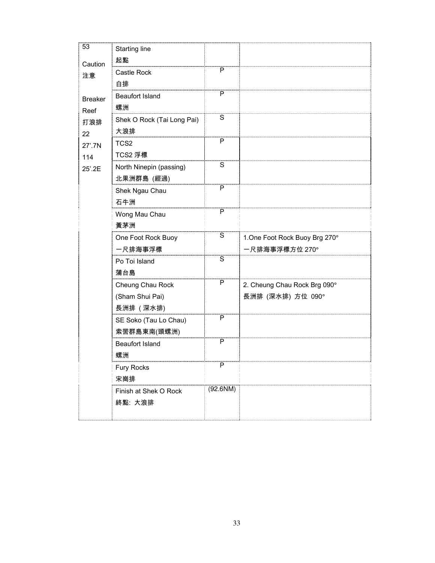| 53             | <b>Starting line</b>       |                         |                                |
|----------------|----------------------------|-------------------------|--------------------------------|
| Caution        | 起點                         |                         |                                |
| 注意             | Castle Rock                | P                       |                                |
|                | 白排                         |                         |                                |
| <b>Breaker</b> | <b>Beaufort Island</b>     | P                       |                                |
| Reef           | 螺洲                         |                         |                                |
| 打浪排            | Shek O Rock (Tai Long Pai) | $\overline{\mathsf{s}}$ |                                |
| 22             | 大浪排                        |                         |                                |
| 27'.7N         | TCS <sub>2</sub>           | P                       |                                |
| 114            | TCS2 浮標                    |                         |                                |
| 25'.2E         | North Ninepin (passing)    | $\mathbf S$             |                                |
|                | 北果洲群島 (經過)                 |                         |                                |
|                | Shek Ngau Chau             | $\overline{P}$          |                                |
|                | 石牛洲                        |                         |                                |
|                | Wong Mau Chau              | $\overline{P}$          |                                |
|                | 黃茅洲                        |                         |                                |
|                | One Foot Rock Buoy         | S                       | 1. One Foot Rock Buoy Brg 270° |
|                | 一尺排海事浮標                    |                         | 一尺排海事浮標方位 270°                 |
|                | Po Toi Island              | $\overline{\mathsf{s}}$ |                                |
|                | 蒲台島                        |                         |                                |
|                | Cheung Chau Rock           | P                       | 2. Cheung Chau Rock Brg 090°   |
|                | (Sham Shui Pai)            |                         | 長洲排 (深水排) 方位 090°              |
|                | 長洲排 (深水排)                  |                         |                                |
|                | SE Soko (Tau Lo Chau)      | P                       |                                |
|                | 索罟群島東南(頭螺洲)                |                         |                                |
|                | <b>Beaufort Island</b>     | P                       |                                |
|                | 螺洲                         |                         |                                |
|                | Fury Rocks                 | P                       |                                |
|                | 宋崗排                        |                         |                                |
|                | Finish at Shek O Rock      | $(92.6$ NM $)$          |                                |
|                | 終點: 大浪排                    |                         |                                |
|                |                            |                         |                                |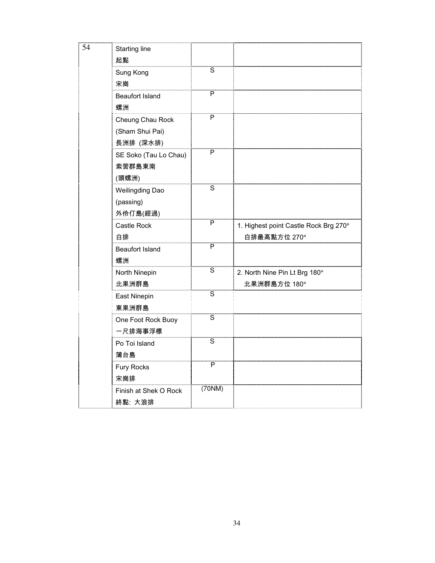| 54 | <b>Starting line</b><br>起點                       |                         |                                                       |
|----|--------------------------------------------------|-------------------------|-------------------------------------------------------|
|    | Sung Kong<br>宋崗                                  | $\overline{s}$          |                                                       |
|    | <b>Beaufort Island</b><br>螺洲                     | P                       |                                                       |
|    | Cheung Chau Rock<br>(Sham Shui Pai)<br>長洲排 (深水排) | P                       |                                                       |
|    | SE Soko (Tau Lo Chau)<br>索罟群島東南<br>(頭螺洲)         | $\overline{\mathsf{P}}$ |                                                       |
|    | Weilingding Dao<br>(passing)<br>外伶仃島(經過)         | $\overline{s}$          |                                                       |
|    | Castle Rock<br>白排                                | $\overline{\mathsf{P}}$ | 1. Highest point Castle Rock Brg 270°<br>白排最高點方位 270° |
|    | <b>Beaufort Island</b><br>螺洲                     | $\overline{P}$          |                                                       |
|    | North Ninepin<br>北果洲群島                           | $\overline{\mathsf{s}}$ | 2. North Nine Pin Lt Brg 180°<br>北果洲群島方位 180°         |
|    | East Ninepin<br>東果洲群島                            | $\overline{s}$          |                                                       |
|    | One Foot Rock Buoy<br>一尺排海事浮標                    | $\overline{s}$          |                                                       |
|    | Po Toi Island<br>蒲台島                             | $\overline{s}$          |                                                       |
|    | Fury Rocks<br>宋崗排                                | $\overline{P}$          |                                                       |
|    | Finish at Shek O Rock<br>終點: 大浪排                 | (70NM)                  |                                                       |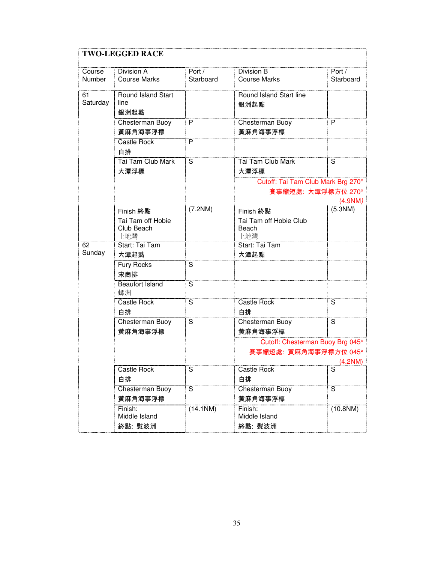| <b>TWO-LEGGED RACE</b> |                                                     |                         |                                                                     |                         |
|------------------------|-----------------------------------------------------|-------------------------|---------------------------------------------------------------------|-------------------------|
| Course<br>Number       | Division A<br><b>Course Marks</b>                   | Port /<br>Starboard     | Division B<br><b>Course Marks</b>                                   | Port /<br>Starboard     |
| 61<br>Saturday         | Round Island Start<br>line<br>銀洲起點                  |                         | Round Island Start line<br>銀洲起點                                     |                         |
|                        | Chesterman Buoy<br>黃麻角海事浮標                          | P                       | Chesterman Buoy<br>黃麻角海事浮標                                          | P                       |
|                        | Castle Rock<br>白排                                   | P                       |                                                                     |                         |
|                        | Tai Tam Club Mark<br>大潭浮標                           | S                       | Tai Tam Club Mark<br>大潭浮標                                           | S                       |
|                        |                                                     |                         | Cutoff: Tai Tam Club Mark Brg 270°<br>賽事縮短處: 大潭浮標方位 270°<br>(4.9NM) |                         |
|                        | Finish 終點<br>Tai Tam off Hobie<br>Club Beach<br>土地灣 | (7.2NM)                 | <b>Finish 終點</b><br>Tai Tam off Hobie Club<br>Beach<br>土地灣          | (5.3NM)                 |
| 62<br>Sunday           | Start: Tai Tam<br>大潭起點                              |                         | Start: Tai Tam<br>大潭起點                                              |                         |
|                        | <b>Fury Rocks</b><br>宋崗排                            | S                       |                                                                     |                         |
|                        | <b>Beaufort Island</b><br>螺洲                        | $\overline{\mathbf{s}}$ |                                                                     |                         |
|                        | Castle Rock<br>白排                                   | S                       | Castle Rock<br>白排                                                   | S                       |
|                        | Chesterman Buoy<br>黃麻角海事浮標                          | S                       | Chesterman Buoy<br>黃麻角海事浮標                                          | $\overline{\mathbf{s}}$ |
|                        |                                                     |                         | Cutoff: Chesterman Buoy Brg 045°<br>賽事縮短處: 黃麻角海事浮標方位 045°           | (4.2NM)                 |
|                        | Castle Rock<br>白排                                   | S                       | Castle Rock<br>白排                                                   | S                       |
|                        | Chesterman Buoy<br>黃麻角海事浮標                          | S                       | Chesterman Buoy<br>黃麻角海事浮標                                          | $\overline{\mathsf{s}}$ |
|                        | Finish:<br>Middle Island<br>終點: 熨波洲                 | (14.1NM)                | Finish:<br>Middle Island<br>終點: 熨波洲                                 | $(10.8$ NM)             |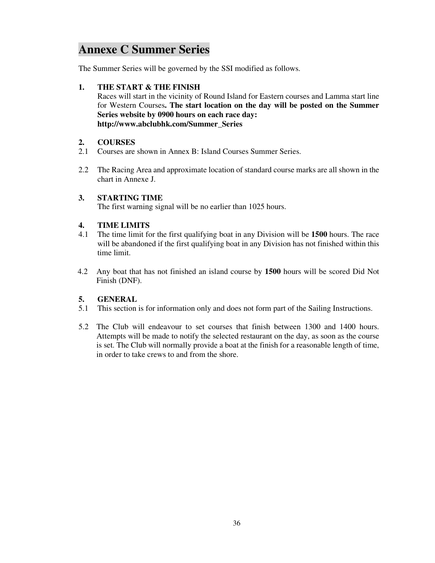# **Annexe C Summer Series**

The Summer Series will be governed by the SSI modified as follows.

### **1. THE START & THE FINISH**

 Races will start in the vicinity of Round Island for Eastern courses and Lamma start line for Western Courses**. The start location on the day will be posted on the Summer Series website by 0900 hours on each race day: http://www.abclubhk.com/Summer\_Series**

### **2. COURSES**

- 2.1 Courses are shown in Annex B: Island Courses Summer Series.
- 2.2 The Racing Area and approximate location of standard course marks are all shown in the chart in Annexe J.

### **3. STARTING TIME**

The first warning signal will be no earlier than 1025 hours.

### **4. TIME LIMITS**

- 4.1 The time limit for the first qualifying boat in any Division will be **1500** hours. The race will be abandoned if the first qualifying boat in any Division has not finished within this time limit.
- 4.2 Any boat that has not finished an island course by **1500** hours will be scored Did Not Finish (DNF).

### **5. GENERAL**

- 5.1 This section is for information only and does not form part of the Sailing Instructions.
- 5.2 The Club will endeavour to set courses that finish between 1300 and 1400 hours. Attempts will be made to notify the selected restaurant on the day, as soon as the course is set. The Club will normally provide a boat at the finish for a reasonable length of time, in order to take crews to and from the shore.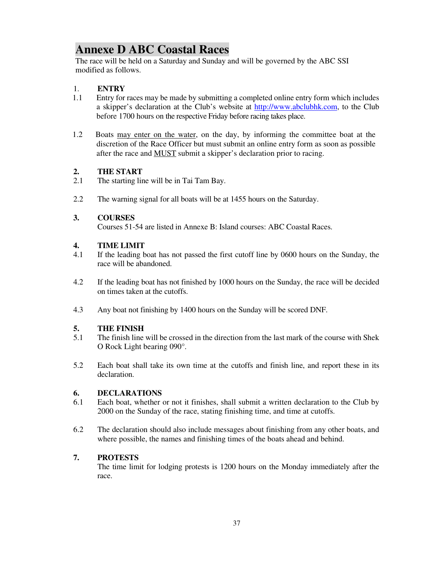# **Annexe D ABC Coastal Races**

The race will be held on a Saturday and Sunday and will be governed by the ABC SSI modified as follows.

### 1. **ENTRY**

- 1.1 Entry for races may be made by submitting a completed online entry form which includes a skipper's declaration at the Club's website at http://www.abclubhk.com, to the Club before 1700 hours on the respective Friday before racing takes place.
- 1.2 Boats may enter on the water, on the day, by informing the committee boat at the discretion of the Race Officer but must submit an online entry form as soon as possible after the race and MUST submit a skipper's declaration prior to racing.

### **2. THE START**

- 2.1 The starting line will be in Tai Tam Bay.
- 2.2 The warning signal for all boats will be at 1455 hours on the Saturday.

### **3. COURSES**

Courses 51-54 are listed in Annexe B: Island courses: ABC Coastal Races.

### **4. TIME LIMIT**

- 4.1 If the leading boat has not passed the first cutoff line by 0600 hours on the Sunday, the race will be abandoned.
- 4.2 If the leading boat has not finished by 1000 hours on the Sunday, the race will be decided on times taken at the cutoffs.
- 4.3 Any boat not finishing by 1400 hours on the Sunday will be scored DNF.

### **5. THE FINISH**

- 5.1 The finish line will be crossed in the direction from the last mark of the course with Shek O Rock Light bearing 090°.
- 5.2 Each boat shall take its own time at the cutoffs and finish line, and report these in its declaration.

### **6. DECLARATIONS**

- 6.1 Each boat, whether or not it finishes, shall submit a written declaration to the Club by 2000 on the Sunday of the race, stating finishing time, and time at cutoffs.
- 6.2 The declaration should also include messages about finishing from any other boats, and where possible, the names and finishing times of the boats ahead and behind.

### **7. PROTESTS**

 The time limit for lodging protests is 1200 hours on the Monday immediately after the race.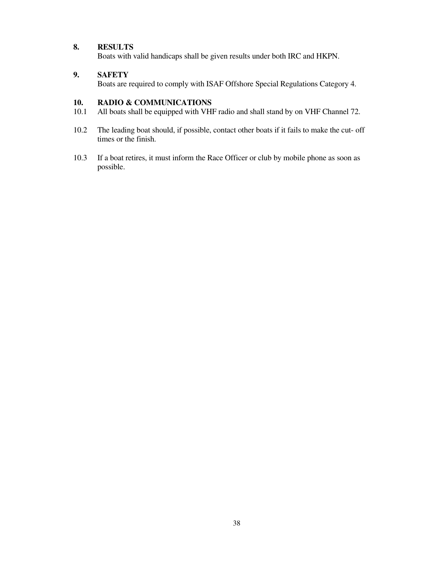### **8. RESULTS**

Boats with valid handicaps shall be given results under both IRC and HKPN.

### **9. SAFETY**

Boats are required to comply with ISAF Offshore Special Regulations Category 4.

### **10. RADIO & COMMUNICATIONS**

- 10.1 All boats shall be equipped with VHF radio and shall stand by on VHF Channel 72.
- 10.2 The leading boat should, if possible, contact other boats if it fails to make the cut- off times or the finish.
- 10.3 If a boat retires, it must inform the Race Officer or club by mobile phone as soon as possible.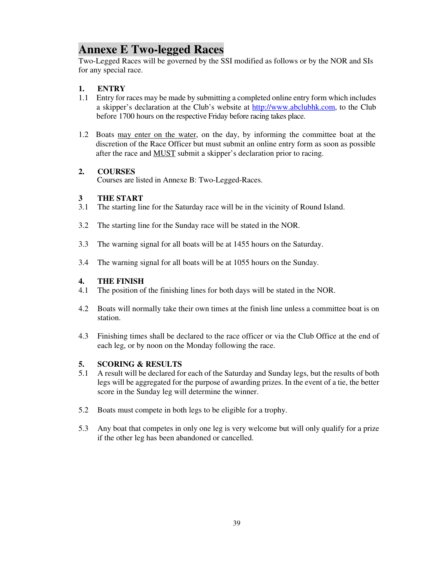# **Annexe E Two-legged Races**

Two-Legged Races will be governed by the SSI modified as follows or by the NOR and SIs for any special race.

### **1. ENTRY**

- 1.1 Entry for races may be made by submitting a completed online entry form which includes a skipper's declaration at the Club's website at http://www.abclubhk.com, to the Club before 1700 hours on the respective Friday before racing takes place.
- 1.2 Boats may enter on the water, on the day, by informing the committee boat at the discretion of the Race Officer but must submit an online entry form as soon as possible after the race and MUST submit a skipper's declaration prior to racing.

### **2. COURSES**

Courses are listed in Annexe B: Two-Legged-Races.

# **3 THE START**<br>**3.1** The starting lin

- The starting line for the Saturday race will be in the vicinity of Round Island.
- 3.2 The starting line for the Sunday race will be stated in the NOR.
- 3.3 The warning signal for all boats will be at 1455 hours on the Saturday.
- 3.4 The warning signal for all boats will be at 1055 hours on the Sunday.

### **4. THE FINISH**

- 4.1 The position of the finishing lines for both days will be stated in the NOR.
- 4.2 Boats will normally take their own times at the finish line unless a committee boat is on station.
- 4.3 Finishing times shall be declared to the race officer or via the Club Office at the end of each leg, or by noon on the Monday following the race.

### **5. SCORING & RESULTS**

- 5.1 A result will be declared for each of the Saturday and Sunday legs, but the results of both legs will be aggregated for the purpose of awarding prizes. In the event of a tie, the better score in the Sunday leg will determine the winner.
- 5.2 Boats must compete in both legs to be eligible for a trophy.
- 5.3 Any boat that competes in only one leg is very welcome but will only qualify for a prize if the other leg has been abandoned or cancelled.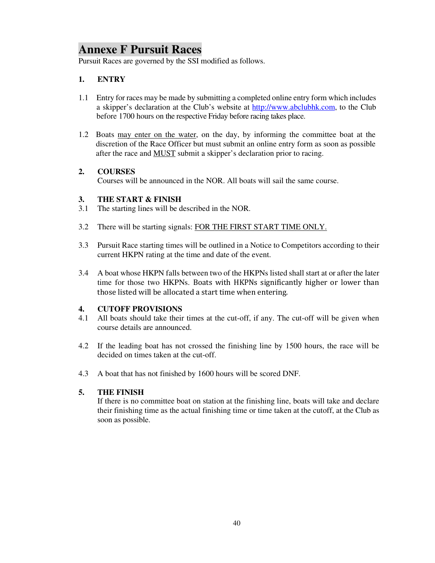# **Annexe F Pursuit Races**

Pursuit Races are governed by the SSI modified as follows.

### **1. ENTRY**

- 1.1 Entry for races may be made by submitting a completed online entry form which includes a skipper's declaration at the Club's website at http://www.abclubhk.com, to the Club before 1700 hours on the respective Friday before racing takes place.
- 1.2 Boats may enter on the water, on the day, by informing the committee boat at the discretion of the Race Officer but must submit an online entry form as soon as possible after the race and MUST submit a skipper's declaration prior to racing.

### **2. COURSES**

Courses will be announced in the NOR. All boats will sail the same course.

### **3. THE START & FINISH**

- 3.1 The starting lines will be described in the NOR.
- 3.2 There will be starting signals: FOR THE FIRST START TIME ONLY.
- 3.3 Pursuit Race starting times will be outlined in a Notice to Competitors according to their current HKPN rating at the time and date of the event.
- 3.4 A boat whose HKPN falls between two of the HKPNs listed shall start at or after the later time for those two HKPNs. Boats with HKPNs significantly higher or lower than those listed will be allocated a start time when entering.

### **4. CUTOFF PROVISIONS**

- 4.1 All boats should take their times at the cut-off, if any. The cut-off will be given when course details are announced.
- 4.2 If the leading boat has not crossed the finishing line by 1500 hours, the race will be decided on times taken at the cut-off.
- 4.3 A boat that has not finished by 1600 hours will be scored DNF.

### **5. THE FINISH**

If there is no committee boat on station at the finishing line, boats will take and declare their finishing time as the actual finishing time or time taken at the cutoff, at the Club as soon as possible.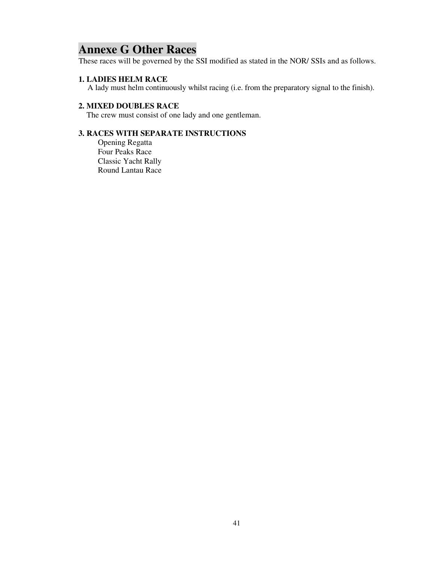# **Annexe G Other Races**

These races will be governed by the SSI modified as stated in the NOR/ SSIs and as follows.

### **1. LADIES HELM RACE**

A lady must helm continuously whilst racing (i.e. from the preparatory signal to the finish).

### **2. MIXED DOUBLES RACE**

The crew must consist of one lady and one gentleman.

## **3. RACES WITH SEPARATE INSTRUCTIONS**

Opening Regatta Four Peaks Race Classic Yacht Rally Round Lantau Race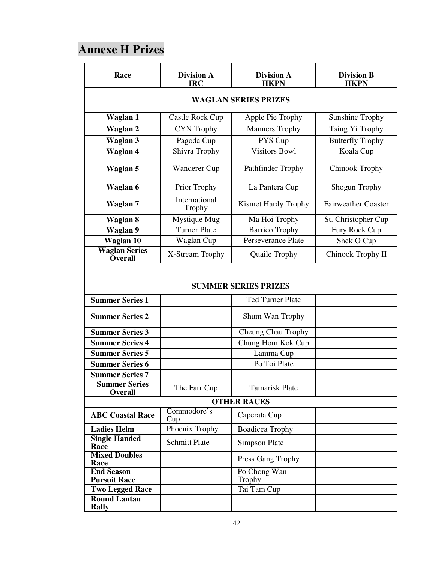# **Annexe H Prizes**

| Race                                     | <b>Division A</b><br><b>IRC</b> | <b>Division A</b><br><b>HKPN</b> | <b>Division B</b><br><b>HKPN</b> |
|------------------------------------------|---------------------------------|----------------------------------|----------------------------------|
| <b>WAGLAN SERIES PRIZES</b>              |                                 |                                  |                                  |
| Waglan 1                                 | Castle Rock Cup                 | Apple Pie Trophy                 | <b>Sunshine Trophy</b>           |
| <b>Waglan 2</b>                          | <b>CYN</b> Trophy               | <b>Manners Trophy</b>            | Tsing Yi Trophy                  |
| <b>Waglan 3</b>                          | Pagoda Cup                      | PYS Cup                          | <b>Butterfly Trophy</b>          |
| Waglan 4                                 | Shivra Trophy                   | <b>Visitors Bowl</b>             | Koala Cup                        |
| Waglan 5                                 | Wanderer Cup                    | Pathfinder Trophy                | <b>Chinook Trophy</b>            |
| Waglan 6                                 | Prior Trophy                    | La Pantera Cup                   | Shogun Trophy                    |
| Waglan 7                                 | International<br>Trophy         | <b>Kismet Hardy Trophy</b>       | <b>Fairweather Coaster</b>       |
| Waglan 8                                 | Mystique Mug                    | Ma Hoi Trophy                    | St. Christopher Cup              |
| <b>Waglan 9</b>                          | <b>Turner Plate</b>             | <b>Barrico Trophy</b>            | Fury Rock Cup                    |
| Waglan 10                                | Waglan Cup                      | Perseverance Plate               | Shek O Cup                       |
| <b>Waglan Series</b><br><b>Overall</b>   | X-Stream Trophy                 | Quaile Trophy                    | Chinook Trophy II                |
|                                          |                                 |                                  |                                  |
|                                          |                                 | <b>SUMMER SERIES PRIZES</b>      |                                  |
| <b>Summer Series 1</b>                   |                                 | <b>Ted Turner Plate</b>          |                                  |
| <b>Summer Series 2</b>                   |                                 | Shum Wan Trophy                  |                                  |
| <b>Summer Series 3</b>                   |                                 | Cheung Chau Trophy               |                                  |
| <b>Summer Series 4</b>                   |                                 | Chung Hom Kok Cup                |                                  |
| <b>Summer Series 5</b>                   |                                 | Lamma Cup                        |                                  |
| <b>Summer Series 6</b>                   |                                 | Po Toi Plate                     |                                  |
| <b>Summer Series 7</b>                   |                                 |                                  |                                  |
| <b>Summer Series</b><br><b>Overall</b>   | The Farr Cup                    | <b>Tamarisk Plate</b>            |                                  |
| <b>OTHER RACES</b>                       |                                 |                                  |                                  |
| <b>ABC Coastal Race</b>                  | Commodore's<br>Cup              | Caperata Cup                     |                                  |
| <b>Ladies Helm</b>                       | Phoenix Trophy                  | <b>Boadicea Trophy</b>           |                                  |
| <b>Single Handed</b><br>Race             | <b>Schmitt Plate</b>            | <b>Simpson Plate</b>             |                                  |
| <b>Mixed Doubles</b><br>Race             |                                 | Press Gang Trophy                |                                  |
| <b>End Season</b><br><b>Pursuit Race</b> |                                 | Po Chong Wan<br><b>Trophy</b>    |                                  |
| <b>Two Legged Race</b>                   |                                 | Tai Tam Cup                      |                                  |
| <b>Round Lantau</b><br><b>Rally</b>      |                                 |                                  |                                  |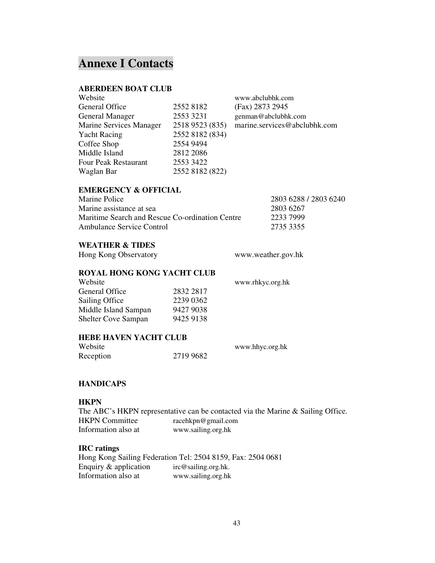## **Annexe I Contacts**

#### **ABERDEEN BOAT CLUB**

| Website                     |                 | www.abclubhk.com             |
|-----------------------------|-----------------|------------------------------|
| General Office              | 2552 8182       | (Fax) 2873 2945              |
| <b>General Manager</b>      | 2553 3231       | genman@abclubhk.com          |
| Marine Services Manager     | 2518 9523 (835) | marine.services@abclubhk.com |
| <b>Yacht Racing</b>         | 2552 8182 (834) |                              |
| Coffee Shop                 | 2554 9494       |                              |
| Middle Island               | 2812 2086       |                              |
| <b>Four Peak Restaurant</b> | 2553 3422       |                              |
| Waglan Bar                  | 2552 8182 (822) |                              |
|                             |                 |                              |

## **EMERGENCY & OFFICIAL**

| Marine Police                                   | 2803 6288 / 2803 6240 |
|-------------------------------------------------|-----------------------|
| Marine assistance at sea                        | 2803 6267             |
| Maritime Search and Rescue Co-ordination Centre | 2233 7999             |
| Ambulance Service Control                       | 2735 3355             |

### **WEATHER & TIDES**

Hong Kong Observatory www.weather.gov.hk

#### **ROYAL HONG KONG YACHT CLUB**

| Website                    |           |
|----------------------------|-----------|
| General Office             | 2832 2817 |
| Sailing Office             | 2239 0362 |
| Middle Island Sampan       | 9427 9038 |
| <b>Shelter Cove Sampan</b> | 9425 9138 |
|                            |           |

www.rhkyc.org.hk

#### **HEBE HAVEN YACHT CLUB**

| Website   |           | www.hhyc.org.hk |
|-----------|-----------|-----------------|
| Reception | 2719 9682 |                 |

#### **HANDICAPS**

#### **HKPN**

The ABC's HKPN representative can be contacted via the Marine & Sailing Office.<br>HKPN Committee racehkon@gmail.com racehkpn@gmail.com Information also at www.sailing.org.hk

#### **IRC ratings**

Hong Kong Sailing Federation Tel: 2504 8159, Fax: 2504 0681 Enquiry & application irc@sailing.org.hk. Information also at www.sailing.org.hk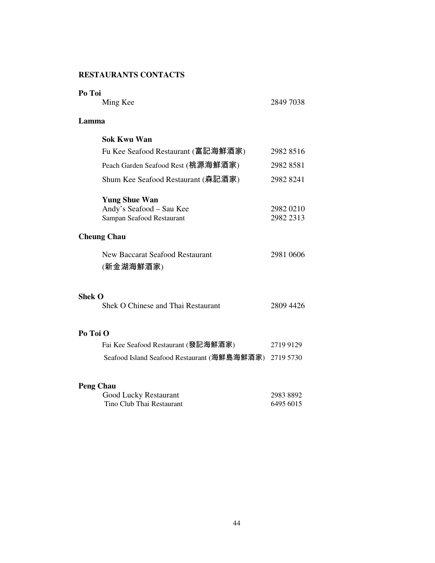## **RESTAURANTS CONTACTS**

| Po Toi                                                                        |                        |
|-------------------------------------------------------------------------------|------------------------|
| Ming Kee                                                                      | 2849 7038              |
| Lamma                                                                         |                        |
| <b>Sok Kwu Wan</b>                                                            |                        |
| Fu Kee Seafood Restaurant (富記海鮮酒家)                                            | 2982 8516              |
| Peach Garden Seafood Rest (桃源海鮮酒家)                                            | 2982 8581              |
| Shum Kee Seafood Restaurant (森記酒家)                                            | 2982 8241              |
| <b>Yung Shue Wan</b><br>Andy's Seafood - Sau Kee<br>Sampan Seafood Restaurant | 2982 0210<br>2982 2313 |
| <b>Cheung Chau</b>                                                            |                        |
| New Baccarat Seafood Restaurant<br>(新金湖海鮮酒家)                                  | 2981 0606              |
| <b>Shek O</b><br>Shek O Chinese and Thai Restaurant                           | 2809 4426              |
| Po Toi O                                                                      |                        |
| Fai Kee Seafood Restaurant (發記海鮮酒家)                                           | 2719 9129              |
| Seafood Island Seafood Restaurant (海鮮島海鮮酒家)                                   | 2719 5730              |
| <b>Peng Chau</b>                                                              |                        |
| <b>Good Lucky Restaurant</b>                                                  | 2983 8892              |
| Tino Club Thai Restaurant                                                     | 6495 6015              |